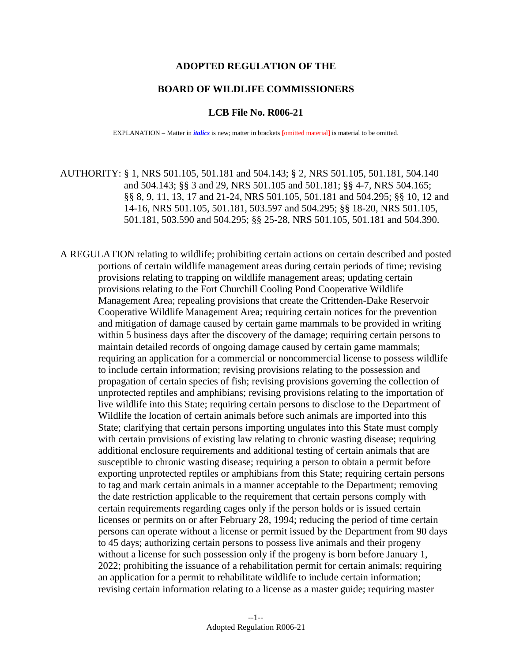### **ADOPTED REGULATION OF THE**

### **BOARD OF WILDLIFE COMMISSIONERS**

#### **LCB File No. R006-21**

EXPLANATION – Matter in *italics* is new; matter in brackets **[**omitted material**]** is material to be omitted.

AUTHORITY: § 1, NRS 501.105, 501.181 and 504.143; § 2, NRS 501.105, 501.181, 504.140 and 504.143; §§ 3 and 29, NRS 501.105 and 501.181; §§ 4-7, NRS 504.165; §§ 8, 9, 11, 13, 17 and 21-24, NRS 501.105, 501.181 and 504.295; §§ 10, 12 and 14-16, NRS 501.105, 501.181, 503.597 and 504.295; §§ 18-20, NRS 501.105, 501.181, 503.590 and 504.295; §§ 25-28, NRS 501.105, 501.181 and 504.390.

A REGULATION relating to wildlife; prohibiting certain actions on certain described and posted portions of certain wildlife management areas during certain periods of time; revising provisions relating to trapping on wildlife management areas; updating certain provisions relating to the Fort Churchill Cooling Pond Cooperative Wildlife Management Area; repealing provisions that create the Crittenden-Dake Reservoir Cooperative Wildlife Management Area; requiring certain notices for the prevention and mitigation of damage caused by certain game mammals to be provided in writing within 5 business days after the discovery of the damage; requiring certain persons to maintain detailed records of ongoing damage caused by certain game mammals; requiring an application for a commercial or noncommercial license to possess wildlife to include certain information; revising provisions relating to the possession and propagation of certain species of fish; revising provisions governing the collection of unprotected reptiles and amphibians; revising provisions relating to the importation of live wildlife into this State; requiring certain persons to disclose to the Department of Wildlife the location of certain animals before such animals are imported into this State; clarifying that certain persons importing ungulates into this State must comply with certain provisions of existing law relating to chronic wasting disease; requiring additional enclosure requirements and additional testing of certain animals that are susceptible to chronic wasting disease; requiring a person to obtain a permit before exporting unprotected reptiles or amphibians from this State; requiring certain persons to tag and mark certain animals in a manner acceptable to the Department; removing the date restriction applicable to the requirement that certain persons comply with certain requirements regarding cages only if the person holds or is issued certain licenses or permits on or after February 28, 1994; reducing the period of time certain persons can operate without a license or permit issued by the Department from 90 days to 45 days; authorizing certain persons to possess live animals and their progeny without a license for such possession only if the progeny is born before January 1, 2022; prohibiting the issuance of a rehabilitation permit for certain animals; requiring an application for a permit to rehabilitate wildlife to include certain information; revising certain information relating to a license as a master guide; requiring master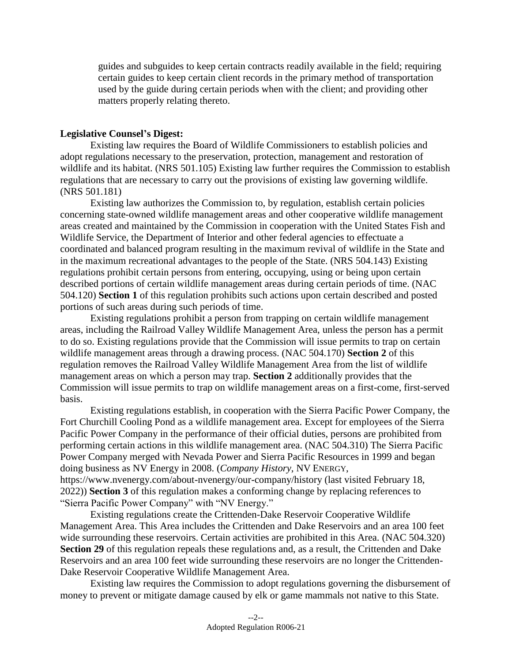guides and subguides to keep certain contracts readily available in the field; requiring certain guides to keep certain client records in the primary method of transportation used by the guide during certain periods when with the client; and providing other matters properly relating thereto.

### **Legislative Counsel's Digest:**

 regulations that are necessary to carry out the provisions of existing law governing wildlife. Existing law requires the Board of Wildlife Commissioners to establish policies and adopt regulations necessary to the preservation, protection, management and restoration of wildlife and its habitat. (NRS 501.105) Existing law further requires the Commission to establish (NRS 501.181)

 concerning state-owned wildlife management areas and other cooperative wildlife management Wildlife Service, the Department of Interior and other federal agencies to effectuate a Existing law authorizes the Commission to, by regulation, establish certain policies areas created and maintained by the Commission in cooperation with the United States Fish and coordinated and balanced program resulting in the maximum revival of wildlife in the State and in the maximum recreational advantages to the people of the State. (NRS 504.143) Existing regulations prohibit certain persons from entering, occupying, using or being upon certain described portions of certain wildlife management areas during certain periods of time. (NAC 504.120) **Section 1** of this regulation prohibits such actions upon certain described and posted portions of such areas during such periods of time.

Existing regulations prohibit a person from trapping on certain wildlife management areas, including the Railroad Valley Wildlife Management Area, unless the person has a permit to do so. Existing regulations provide that the Commission will issue permits to trap on certain wildlife management areas through a drawing process. (NAC 504.170) **Section 2** of this regulation removes the Railroad Valley Wildlife Management Area from the list of wildlife management areas on which a person may trap. **Section 2** additionally provides that the Commission will issue permits to trap on wildlife management areas on a first-come, first-served basis.

Existing regulations establish, in cooperation with the Sierra Pacific Power Company, the Fort Churchill Cooling Pond as a wildlife management area. Except for employees of the Sierra Pacific Power Company in the performance of their official duties, persons are prohibited from performing certain actions in this wildlife management area. (NAC 504.310) The Sierra Pacific Power Company merged with Nevada Power and Sierra Pacific Resources in 1999 and began doing business as NV Energy in 2008. (*Company History*, NV ENERGY, <https://www.nvenergy.com/about-nvenergy/our-company/history> (last visited February 18, 2022)) **Section 3** of this regulation makes a conforming change by replacing references to

"Sierra Pacific Power Company" with "NV Energy."

Existing regulations create the Crittenden-Dake Reservoir Cooperative Wildlife Management Area. This Area includes the Crittenden and Dake Reservoirs and an area 100 feet wide surrounding these reservoirs. Certain activities are prohibited in this Area. (NAC 504.320) **Section 29** of this regulation repeals these regulations and, as a result, the Crittenden and Dake Reservoirs and an area 100 feet wide surrounding these reservoirs are no longer the Crittenden-Dake Reservoir Cooperative Wildlife Management Area.

Existing law requires the Commission to adopt regulations governing the disbursement of money to prevent or mitigate damage caused by elk or game mammals not native to this State.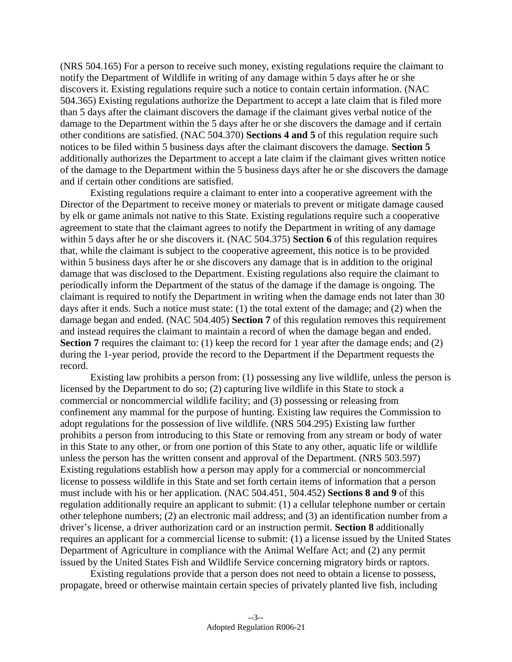(NRS 504.165) For a person to receive such money, existing regulations require the claimant to notify the Department of Wildlife in writing of any damage within 5 days after he or she discovers it. Existing regulations require such a notice to contain certain information. (NAC 504.365) Existing regulations authorize the Department to accept a late claim that is filed more than 5 days after the claimant discovers the damage if the claimant gives verbal notice of the damage to the Department within the 5 days after he or she discovers the damage and if certain other conditions are satisfied. (NAC 504.370) **Sections 4 and 5** of this regulation require such notices to be filed within 5 business days after the claimant discovers the damage. **Section 5**  additionally authorizes the Department to accept a late claim if the claimant gives written notice of the damage to the Department within the 5 business days after he or she discovers the damage and if certain other conditions are satisfied.

Existing regulations require a claimant to enter into a cooperative agreement with the Director of the Department to receive money or materials to prevent or mitigate damage caused by elk or game animals not native to this State. Existing regulations require such a cooperative agreement to state that the claimant agrees to notify the Department in writing of any damage within 5 days after he or she discovers it. (NAC 504.375) **Section 6** of this regulation requires that, while the claimant is subject to the cooperative agreement, this notice is to be provided within 5 business days after he or she discovers any damage that is in addition to the original damage that was disclosed to the Department. Existing regulations also require the claimant to periodically inform the Department of the status of the damage if the damage is ongoing. The claimant is required to notify the Department in writing when the damage ends not later than 30 days after it ends. Such a notice must state: (1) the total extent of the damage; and (2) when the damage began and ended. (NAC 504.405) **Section 7** of this regulation removes this requirement and instead requires the claimant to maintain a record of when the damage began and ended. **Section 7** requires the claimant to: (1) keep the record for 1 year after the damage ends; and (2) during the 1-year period, provide the record to the Department if the Department requests the record.

 licensed by the Department to do so; (2) capturing live wildlife in this State to stock a Existing law prohibits a person from: (1) possessing any live wildlife, unless the person is commercial or noncommercial wildlife facility; and (3) possessing or releasing from confinement any mammal for the purpose of hunting. Existing law requires the Commission to adopt regulations for the possession of live wildlife. (NRS 504.295) Existing law further prohibits a person from introducing to this State or removing from any stream or body of water in this State to any other, or from one portion of this State to any other, aquatic life or wildlife unless the person has the written consent and approval of the Department. (NRS 503.597) Existing regulations establish how a person may apply for a commercial or noncommercial license to possess wildlife in this State and set forth certain items of information that a person must include with his or her application. (NAC 504.451, 504.452) **Sections 8 and 9** of this regulation additionally require an applicant to submit: (1) a cellular telephone number or certain other telephone numbers; (2) an electronic mail address; and (3) an identification number from a driver's license, a driver authorization card or an instruction permit. **Section 8** additionally requires an applicant for a commercial license to submit: (1) a license issued by the United States Department of Agriculture in compliance with the Animal Welfare Act; and (2) any permit issued by the United States Fish and Wildlife Service concerning migratory birds or raptors.

Existing regulations provide that a person does not need to obtain a license to possess, propagate, breed or otherwise maintain certain species of privately planted live fish, including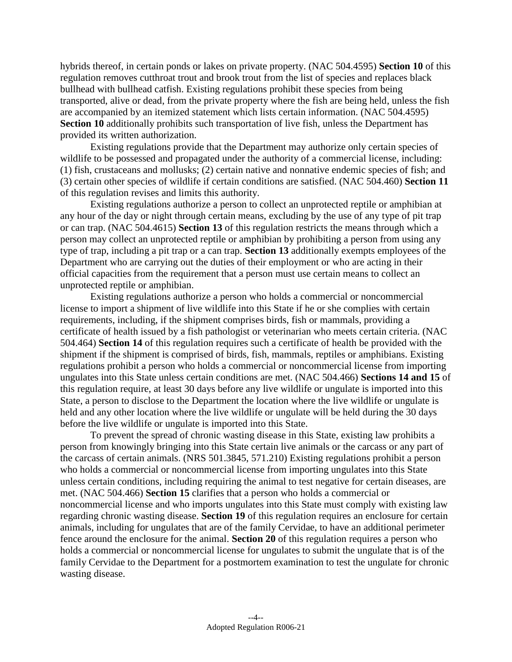hybrids thereof, in certain ponds or lakes on private property. (NAC 504.4595) **Section 10** of this regulation removes cutthroat trout and brook trout from the list of species and replaces black bullhead with bullhead catfish. Existing regulations prohibit these species from being transported, alive or dead, from the private property where the fish are being held, unless the fish are accompanied by an itemized statement which lists certain information. (NAC 504.4595) **Section 10** additionally prohibits such transportation of live fish, unless the Department has provided its written authorization.

Existing regulations provide that the Department may authorize only certain species of wildlife to be possessed and propagated under the authority of a commercial license, including: (1) fish, crustaceans and mollusks; (2) certain native and nonnative endemic species of fish; and (3) certain other species of wildlife if certain conditions are satisfied. (NAC 504.460) **Section 11**  of this regulation revises and limits this authority.

Existing regulations authorize a person to collect an unprotected reptile or amphibian at any hour of the day or night through certain means, excluding by the use of any type of pit trap or can trap. (NAC 504.4615) **Section 13** of this regulation restricts the means through which a person may collect an unprotected reptile or amphibian by prohibiting a person from using any type of trap, including a pit trap or a can trap. **Section 13** additionally exempts employees of the Department who are carrying out the duties of their employment or who are acting in their official capacities from the requirement that a person must use certain means to collect an unprotected reptile or amphibian.

Existing regulations authorize a person who holds a commercial or noncommercial license to import a shipment of live wildlife into this State if he or she complies with certain requirements, including, if the shipment comprises birds, fish or mammals, providing a certificate of health issued by a fish pathologist or veterinarian who meets certain criteria. (NAC 504.464) **Section 14** of this regulation requires such a certificate of health be provided with the shipment if the shipment is comprised of birds, fish, mammals, reptiles or amphibians. Existing regulations prohibit a person who holds a commercial or noncommercial license from importing ungulates into this State unless certain conditions are met. (NAC 504.466) **Sections 14 and 15** of this regulation require, at least 30 days before any live wildlife or ungulate is imported into this State, a person to disclose to the Department the location where the live wildlife or ungulate is held and any other location where the live wildlife or ungulate will be held during the 30 days before the live wildlife or ungulate is imported into this State.

 To prevent the spread of chronic wasting disease in this State, existing law prohibits a person from knowingly bringing into this State certain live animals or the carcass or any part of the carcass of certain animals. (NRS 501.3845, 571.210) Existing regulations prohibit a person who holds a commercial or noncommercial license from importing ungulates into this State unless certain conditions, including requiring the animal to test negative for certain diseases, are met. (NAC 504.466) **Section 15** clarifies that a person who holds a commercial or noncommercial license and who imports ungulates into this State must comply with existing law regarding chronic wasting disease. **Section 19** of this regulation requires an enclosure for certain animals, including for ungulates that are of the family Cervidae, to have an additional perimeter fence around the enclosure for the animal. **Section 20** of this regulation requires a person who holds a commercial or noncommercial license for ungulates to submit the ungulate that is of the family Cervidae to the Department for a postmortem examination to test the ungulate for chronic wasting disease.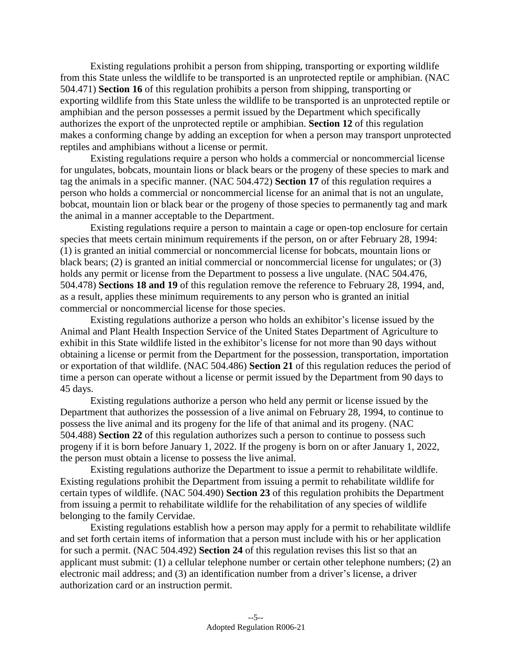makes a conforming change by adding an exception for when a person may transport unprotected Existing regulations prohibit a person from shipping, transporting or exporting wildlife from this State unless the wildlife to be transported is an unprotected reptile or amphibian. (NAC 504.471) **Section 16** of this regulation prohibits a person from shipping, transporting or exporting wildlife from this State unless the wildlife to be transported is an unprotected reptile or amphibian and the person possesses a permit issued by the Department which specifically authorizes the export of the unprotected reptile or amphibian. **Section 12** of this regulation reptiles and amphibians without a license or permit.

Existing regulations require a person who holds a commercial or noncommercial license for ungulates, bobcats, mountain lions or black bears or the progeny of these species to mark and tag the animals in a specific manner. (NAC 504.472) **Section 17** of this regulation requires a person who holds a commercial or noncommercial license for an animal that is not an ungulate, bobcat, mountain lion or black bear or the progeny of those species to permanently tag and mark the animal in a manner acceptable to the Department.

Existing regulations require a person to maintain a cage or open-top enclosure for certain species that meets certain minimum requirements if the person, on or after February 28, 1994: (1) is granted an initial commercial or noncommercial license for bobcats, mountain lions or black bears; (2) is granted an initial commercial or noncommercial license for ungulates; or (3) holds any permit or license from the Department to possess a live ungulate. (NAC 504.476, 504.478) **Sections 18 and 19** of this regulation remove the reference to February 28, 1994, and, as a result, applies these minimum requirements to any person who is granted an initial commercial or noncommercial license for those species.

Existing regulations authorize a person who holds an exhibitor's license issued by the Animal and Plant Health Inspection Service of the United States Department of Agriculture to exhibit in this State wildlife listed in the exhibitor's license for not more than 90 days without obtaining a license or permit from the Department for the possession, transportation, importation or exportation of that wildlife. (NAC 504.486) **Section 21** of this regulation reduces the period of time a person can operate without a license or permit issued by the Department from 90 days to 45 days.

Existing regulations authorize a person who held any permit or license issued by the Department that authorizes the possession of a live animal on February 28, 1994, to continue to possess the live animal and its progeny for the life of that animal and its progeny. (NAC 504.488) **Section 22** of this regulation authorizes such a person to continue to possess such progeny if it is born before January 1, 2022. If the progeny is born on or after January 1, 2022, the person must obtain a license to possess the live animal.

Existing regulations authorize the Department to issue a permit to rehabilitate wildlife. Existing regulations prohibit the Department from issuing a permit to rehabilitate wildlife for certain types of wildlife. (NAC 504.490) **Section 23** of this regulation prohibits the Department from issuing a permit to rehabilitate wildlife for the rehabilitation of any species of wildlife belonging to the family Cervidae.

Existing regulations establish how a person may apply for a permit to rehabilitate wildlife and set forth certain items of information that a person must include with his or her application for such a permit. (NAC 504.492) **Section 24** of this regulation revises this list so that an applicant must submit: (1) a cellular telephone number or certain other telephone numbers; (2) an electronic mail address; and (3) an identification number from a driver's license, a driver authorization card or an instruction permit.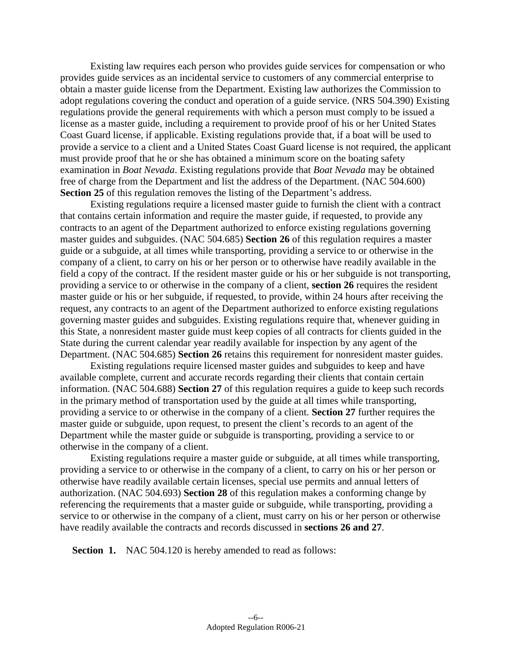Existing law requires each person who provides guide services for compensation or who provides guide services as an incidental service to customers of any commercial enterprise to obtain a master guide license from the Department. Existing law authorizes the Commission to adopt regulations covering the conduct and operation of a guide service. (NRS 504.390) Existing regulations provide the general requirements with which a person must comply to be issued a license as a master guide, including a requirement to provide proof of his or her United States Coast Guard license, if applicable. Existing regulations provide that, if a boat will be used to provide a service to a client and a United States Coast Guard license is not required, the applicant must provide proof that he or she has obtained a minimum score on the boating safety examination in *Boat Nevada*. Existing regulations provide that *Boat Nevada* may be obtained free of charge from the Department and list the address of the Department. (NAC 504.600) **Section 25** of this regulation removes the listing of the Department's address.

 State during the current calendar year readily available for inspection by any agent of the Existing regulations require a licensed master guide to furnish the client with a contract that contains certain information and require the master guide, if requested, to provide any contracts to an agent of the Department authorized to enforce existing regulations governing master guides and subguides. (NAC 504.685) **Section 26** of this regulation requires a master guide or a subguide, at all times while transporting, providing a service to or otherwise in the company of a client, to carry on his or her person or to otherwise have readily available in the field a copy of the contract. If the resident master guide or his or her subguide is not transporting, providing a service to or otherwise in the company of a client, **section 26** requires the resident master guide or his or her subguide, if requested, to provide, within 24 hours after receiving the request, any contracts to an agent of the Department authorized to enforce existing regulations governing master guides and subguides. Existing regulations require that, whenever guiding in this State, a nonresident master guide must keep copies of all contracts for clients guided in the Department. (NAC 504.685) **Section 26** retains this requirement for nonresident master guides.

 Department while the master guide or subguide is transporting, providing a service to or Existing regulations require licensed master guides and subguides to keep and have available complete, current and accurate records regarding their clients that contain certain information. (NAC 504.688) **Section 27** of this regulation requires a guide to keep such records in the primary method of transportation used by the guide at all times while transporting, providing a service to or otherwise in the company of a client. **Section 27** further requires the master guide or subguide, upon request, to present the client's records to an agent of the otherwise in the company of a client.

Existing regulations require a master guide or subguide, at all times while transporting, providing a service to or otherwise in the company of a client, to carry on his or her person or otherwise have readily available certain licenses, special use permits and annual letters of authorization. (NAC 504.693) **Section 28** of this regulation makes a conforming change by referencing the requirements that a master guide or subguide, while transporting, providing a service to or otherwise in the company of a client, must carry on his or her person or otherwise have readily available the contracts and records discussed in **sections 26 and 27**.

**Section 1.** NAC 504.120 is hereby amended to read as follows: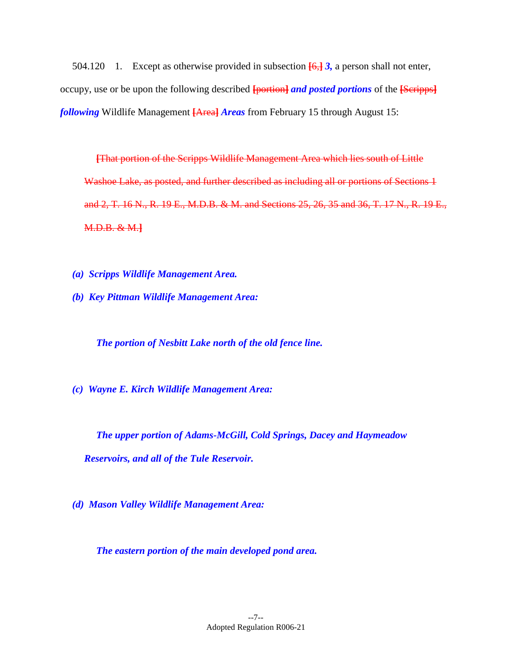504.120 1. Except as otherwise provided in subsection **[**6,**]** *3,* a person shall not enter, occupy, use or be upon the following described **[**portion**]** *and posted portions* of the **[**Scripps**]**  *following* Wildlife Management **[**Area**]** *Areas* from February 15 through August 15:

**[**That portion of the Scripps Wildlife Management Area which lies south of Little Washoe Lake, as posted, and further described as including all or portions of Sections 1 and 2, T. 16 N., R. 19 E., M.D.B. & M. and Sections 25, 26, 35 and 36, T. 17 N., R. 19 E., M.D.B. & M.**]** 

- *(a) Scripps Wildlife Management Area.*
- *(b) Key Pittman Wildlife Management Area:*

*The portion of Nesbitt Lake north of the old fence line.* 

*(c) Wayne E. Kirch Wildlife Management Area:* 

*The upper portion of Adams-McGill, Cold Springs, Dacey and Haymeadow Reservoirs, and all of the Tule Reservoir.* 

*(d) Mason Valley Wildlife Management Area:* 

*The eastern portion of the main developed pond area.*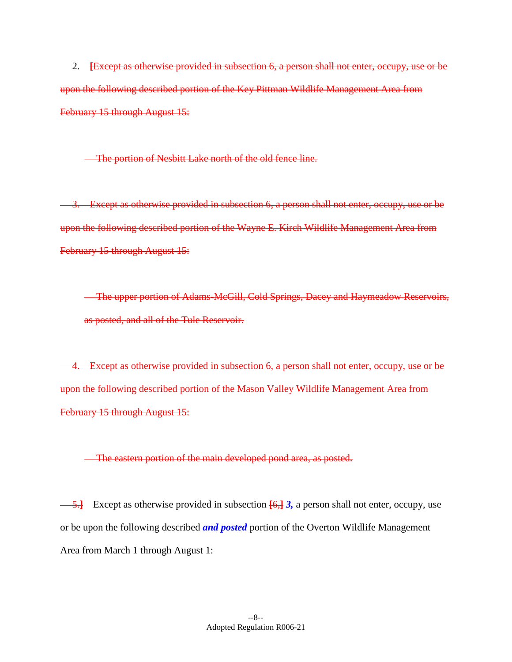2. **[**Except as otherwise provided in subsection 6, a person shall not enter, occupy, use or be upon the following described portion of the Key Pittman Wildlife Management Area from February 15 through August 15:

The portion of Nesbitt Lake north of the old fence line.

3. Except as otherwise provided in subsection 6, a person shall not enter, occupy, use or be upon the following described portion of the Wayne E. Kirch Wildlife Management Area from February 15 through August 15:

The upper portion of Adams-McGill, Cold Springs, Dacey and Haymeadow Reservoirs, as posted, and all of the Tule Reservoir.

4. Except as otherwise provided in subsection 6, a person shall not enter, occupy, use or be upon the following described portion of the Mason Valley Wildlife Management Area from February 15 through August 15:

The eastern portion of the main developed pond area, as posted.

5.**]** Except as otherwise provided in subsection **[**6,**]** *3,* a person shall not enter, occupy, use or be upon the following described *and posted* portion of the Overton Wildlife Management Area from March 1 through August 1: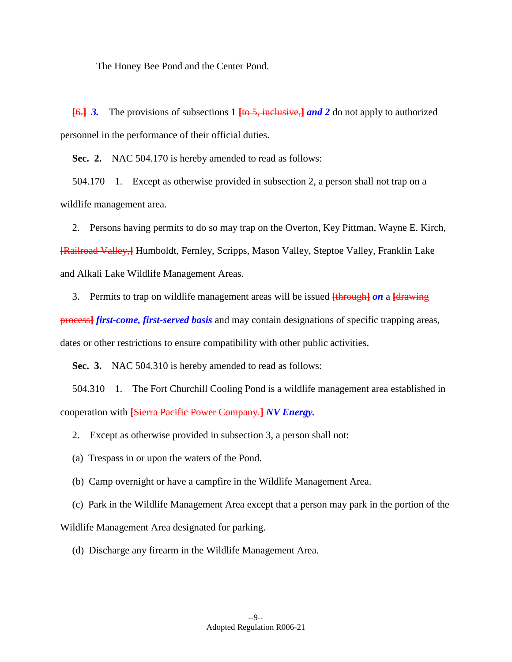The Honey Bee Pond and the Center Pond.

**[**6.**]** *3.* The provisions of subsections 1 **[**to 5, inclusive,**]** *and 2* do not apply to authorized personnel in the performance of their official duties.

**Sec. 2.** NAC 504.170 is hereby amended to read as follows:

 504.170 1. Except as otherwise provided in subsection 2, a person shall not trap on a wildlife management area.

2. Persons having permits to do so may trap on the Overton, Key Pittman, Wayne E. Kirch, **[**Railroad Valley,**]** Humboldt, Fernley, Scripps, Mason Valley, Steptoe Valley, Franklin Lake and Alkali Lake Wildlife Management Areas.

3. Permits to trap on wildlife management areas will be issued **[**through**]** *on* a **[**drawing

process**]** *first-come, first-served basis* and may contain designations of specific trapping areas, dates or other restrictions to ensure compatibility with other public activities.

**Sec. 3.** NAC 504.310 is hereby amended to read as follows:

 504.310 1. The Fort Churchill Cooling Pond is a wildlife management area established in cooperation with **[**Sierra Pacific Power Company.**]** *NV Energy.* 

2. Except as otherwise provided in subsection 3, a person shall not:

(a) Trespass in or upon the waters of the Pond.

(b) Camp overnight or have a campfire in the Wildlife Management Area.

(c) Park in the Wildlife Management Area except that a person may park in the portion of the

Wildlife Management Area designated for parking.

(d) Discharge any firearm in the Wildlife Management Area.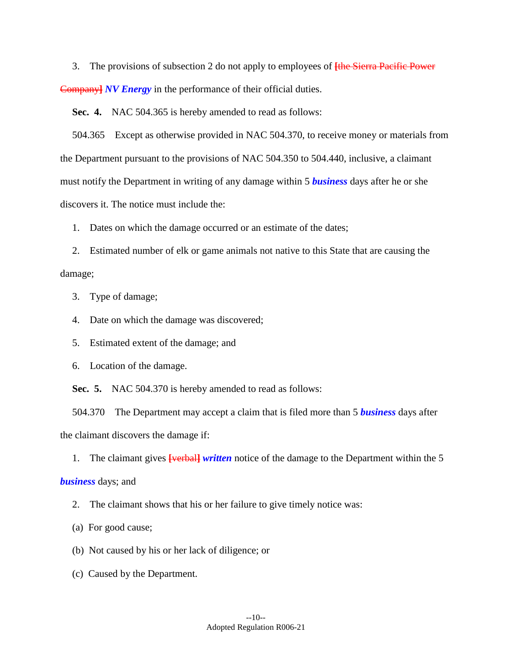3. The provisions of subsection 2 do not apply to employees of **[**the Sierra Pacific Power Company**]** *NV Energy* in the performance of their official duties.

**Sec. 4.** NAC 504.365 is hereby amended to read as follows:

 504.365 Except as otherwise provided in NAC 504.370, to receive money or materials from the Department pursuant to the provisions of NAC 504.350 to 504.440, inclusive, a claimant must notify the Department in writing of any damage within 5 *business* days after he or she discovers it. The notice must include the:

1. Dates on which the damage occurred or an estimate of the dates;

2. Estimated number of elk or game animals not native to this State that are causing the damage;

3. Type of damage;

4. Date on which the damage was discovered;

5. Estimated extent of the damage; and

6. Location of the damage.

**Sec. 5.** NAC 504.370 is hereby amended to read as follows:

 504.370 The Department may accept a claim that is filed more than 5 *business* days after the claimant discovers the damage if:

1. The claimant gives **[**verbal**]** *written* notice of the damage to the Department within the 5

### *business* days; and

2. The claimant shows that his or her failure to give timely notice was:

- (a) For good cause;
- (b) Not caused by his or her lack of diligence; or
- (c) Caused by the Department.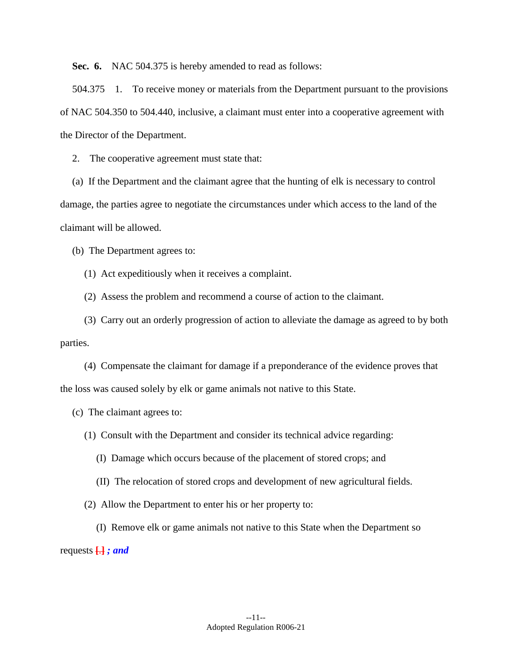**Sec. 6.** NAC 504.375 is hereby amended to read as follows:

 504.375 1. To receive money or materials from the Department pursuant to the provisions of NAC 504.350 to 504.440, inclusive, a claimant must enter into a cooperative agreement with the Director of the Department.

2. The cooperative agreement must state that:

(a) If the Department and the claimant agree that the hunting of elk is necessary to control damage, the parties agree to negotiate the circumstances under which access to the land of the claimant will be allowed.

(b) The Department agrees to:

(1) Act expeditiously when it receives a complaint.

(2) Assess the problem and recommend a course of action to the claimant.

(3) Carry out an orderly progression of action to alleviate the damage as agreed to by both parties.

(4) Compensate the claimant for damage if a preponderance of the evidence proves that the loss was caused solely by elk or game animals not native to this State.

(c) The claimant agrees to:

(1) Consult with the Department and consider its technical advice regarding:

(I) Damage which occurs because of the placement of stored crops; and

(II) The relocation of stored crops and development of new agricultural fields.

(2) Allow the Department to enter his or her property to:

- requests **[**.**]** *; and*  (I) Remove elk or game animals not native to this State when the Department so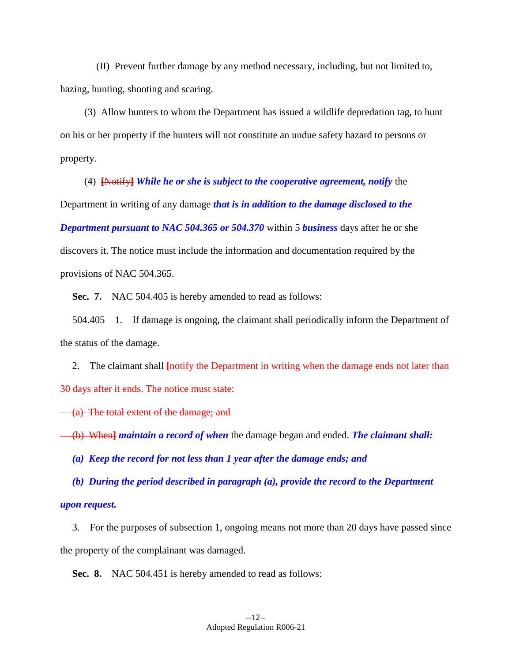(II) Prevent further damage by any method necessary, including, but not limited to, hazing, hunting, shooting and scaring.

(3) Allow hunters to whom the Department has issued a wildlife depredation tag, to hunt on his or her property if the hunters will not constitute an undue safety hazard to persons or property.

(4) **[**Notify**]** *While he or she is subject to the cooperative agreement, notify* the Department in writing of any damage *that is in addition to the damage disclosed to the Department pursuant to NAC 504.365 or 504.370* within 5 *business* days after he or she discovers it. The notice must include the information and documentation required by the provisions of NAC 504.365.

**Sec. 7.** NAC 504.405 is hereby amended to read as follows:

 504.405 1. If damage is ongoing, the claimant shall periodically inform the Department of the status of the damage.

2. The claimant shall **[**notify the Department in writing when the damage ends not later than 30 days after it ends. The notice must state:

(a) The total extent of the damage; and

(b) When**]** *maintain a record of when* the damage began and ended. *The claimant shall:* 

*(a) Keep the record for not less than 1 year after the damage ends; and* 

*(b) During the period described in paragraph (a), provide the record to the Department upon request.* 

3. For the purposes of subsection 1, ongoing means not more than 20 days have passed since the property of the complainant was damaged.

**Sec. 8.** NAC 504.451 is hereby amended to read as follows: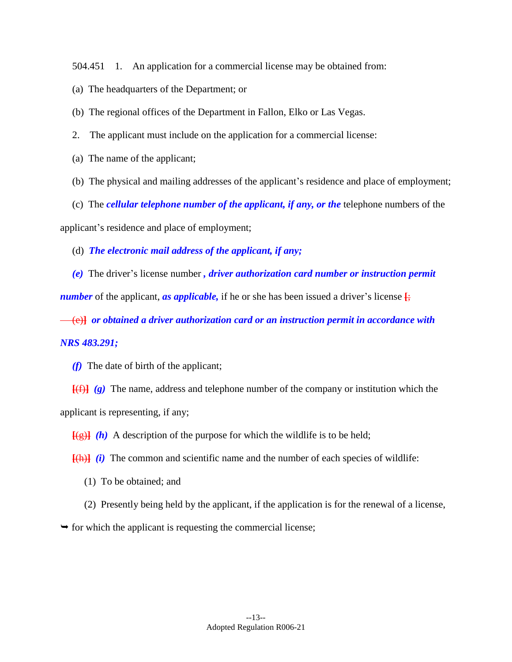504.451 1. An application for a commercial license may be obtained from:

(a) The headquarters of the Department; or

(b) The regional offices of the Department in Fallon, Elko or Las Vegas.

- 2. The applicant must include on the application for a commercial license:
- (a) The name of the applicant;
- (b) The physical and mailing addresses of the applicant's residence and place of employment;

(c) The *cellular telephone number of the applicant, if any, or the* telephone numbers of the

applicant's residence and place of employment;

(d) *The electronic mail address of the applicant, if any;* 

*(e)* The driver's license number *, driver authorization card number or instruction permit number* of the applicant, *as applicable*, if he or she has been issued a driver's license  $\frac{1}{2}$ ;

(e)**]** *or obtained a driver authorization card or an instruction permit in accordance with* 

# *NRS 483.291;*

*(f)* The date of birth of the applicant;

**[**(f)**]** *(g)* The name, address and telephone number of the company or institution which the applicant is representing, if any;

 $\frac{f(g)}{g(h)}$  *(h)* A description of the purpose for which the wildlife is to be held;

 $\frac{[h]}{[h]}$  *(i)* The common and scientific name and the number of each species of wildlife:

(1) To be obtained; and

(2) Presently being held by the applicant, if the application is for the renewal of a license,

 $\rightarrow$  for which the applicant is requesting the commercial license;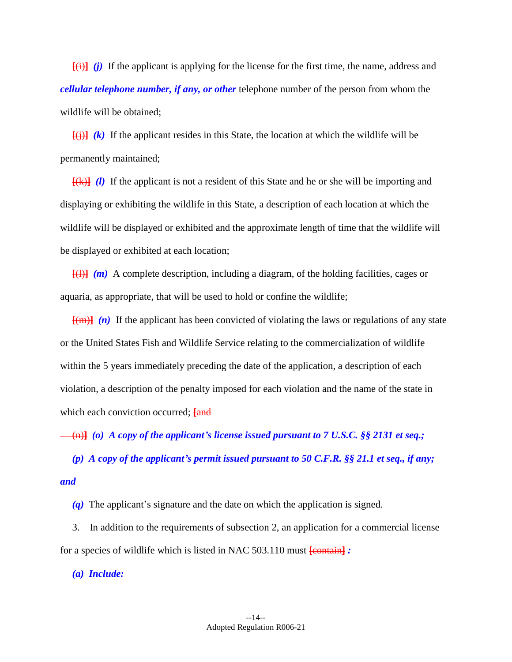**[**(i)**]** *(j)* If the applicant is applying for the license for the first time, the name, address and *cellular telephone number, if any, or other* telephone number of the person from whom the wildlife will be obtained;

 $\overline{f(i)}$  (k) If the applicant resides in this State, the location at which the wildlife will be permanently maintained;

**[**(k)**]** *(l)* If the applicant is not a resident of this State and he or she will be importing and displaying or exhibiting the wildlife in this State, a description of each location at which the wildlife will be displayed or exhibited and the approximate length of time that the wildlife will be displayed or exhibited at each location;

**[**(l)**]** *(m)* A complete description, including a diagram, of the holding facilities, cages or aquaria, as appropriate, that will be used to hold or confine the wildlife;

**[**(m)**]** *(n)* If the applicant has been convicted of violating the laws or regulations of any state or the United States Fish and Wildlife Service relating to the commercialization of wildlife within the 5 years immediately preceding the date of the application, a description of each violation, a description of the penalty imposed for each violation and the name of the state in which each conviction occurred; **[and**]

(n)**]** *(o) A copy of the applicant's license issued pursuant to 7 U.S.C. §§ 2131 et seq.;* 

*(p) A copy of the applicant's permit issued pursuant to 50 C.F.R. §§ 21.1 et seq., if any; and* 

*(q)* The applicant's signature and the date on which the application is signed.

3. In addition to the requirements of subsection 2, an application for a commercial license for a species of wildlife which is listed in NAC 503.110 must **[**contain**]** *:* 

*(a) Include:*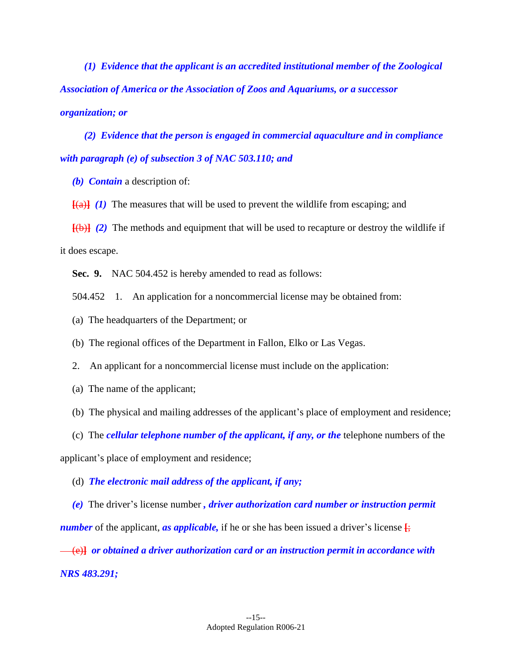*(1) Evidence that the applicant is an accredited institutional member of the Zoological Association of America or the Association of Zoos and Aquariums, or a successor organization; or* 

*(2) Evidence that the person is engaged in commercial aquaculture and in compliance with paragraph (e) of subsection 3 of NAC 503.110; and* 

*(b) Contain* a description of:

 $\overline{f(a)}$  (1) The measures that will be used to prevent the wildlife from escaping; and

**[**(b)**]** *(2)* The methods and equipment that will be used to recapture or destroy the wildlife if it does escape.

**Sec. 9.** NAC 504.452 is hereby amended to read as follows:

504.452 1. An application for a noncommercial license may be obtained from:

(a) The headquarters of the Department; or

(b) The regional offices of the Department in Fallon, Elko or Las Vegas.

2. An applicant for a noncommercial license must include on the application:

(a) The name of the applicant;

(b) The physical and mailing addresses of the applicant's place of employment and residence;

(c) The *cellular telephone number of the applicant, if any, or the* telephone numbers of the

applicant's place of employment and residence;

(d) *The electronic mail address of the applicant, if any;* 

*(e)* The driver's license number *, driver authorization card number or instruction permit number* of the applicant, *as applicable*, if he or she has been issued a driver's license  $\frac{1}{2}$ ;

(e)**]** *or obtained a driver authorization card or an instruction permit in accordance with NRS 483.291;*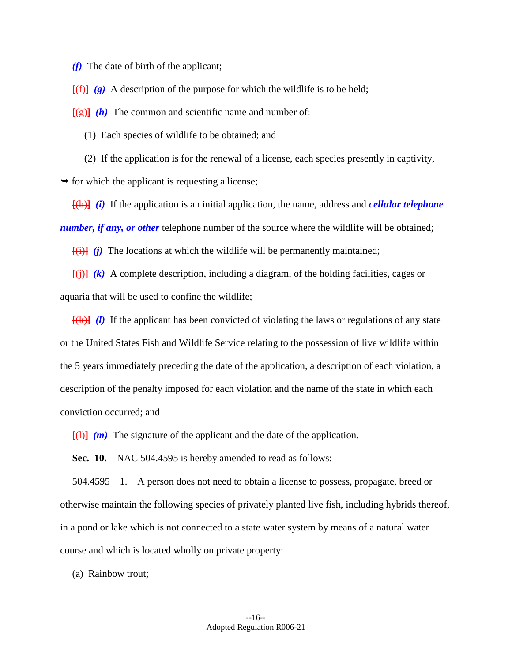*(f)* The date of birth of the applicant;

 $[$ (f))  $\hat{f}$   $\hat{g}$   $\hat{g}$   $\hat{g}$  a description of the purpose for which the wildlife is to be held;

 $[(g)]$   $(h)$  The common and scientific name and number of:

(1) Each species of wildlife to be obtained; and

(2) If the application is for the renewal of a license, each species presently in captivity,

 $\rightarrow$  for which the applicant is requesting a license;

**[**(h)**]** *(i)* If the application is an initial application, the name, address and *cellular telephone number, if any, or other is elephone number of the source where the wildlife will be obtained;* 

**[**(i)**]** *(j)* The locations at which the wildlife will be permanently maintained;

 $\overline{f(i)}$  (k) A complete description, including a diagram, of the holding facilities, cages or aquaria that will be used to confine the wildlife;

**[**(k)**]** *(l)* If the applicant has been convicted of violating the laws or regulations of any state or the United States Fish and Wildlife Service relating to the possession of live wildlife within the 5 years immediately preceding the date of the application, a description of each violation, a description of the penalty imposed for each violation and the name of the state in which each conviction occurred; and

 $\overline{f(1)}$   $(m)$  The signature of the applicant and the date of the application.

**Sec. 10.** NAC 504.4595 is hereby amended to read as follows:

 504.4595 1. A person does not need to obtain a license to possess, propagate, breed or otherwise maintain the following species of privately planted live fish, including hybrids thereof, in a pond or lake which is not connected to a state water system by means of a natural water course and which is located wholly on private property:

(a) Rainbow trout;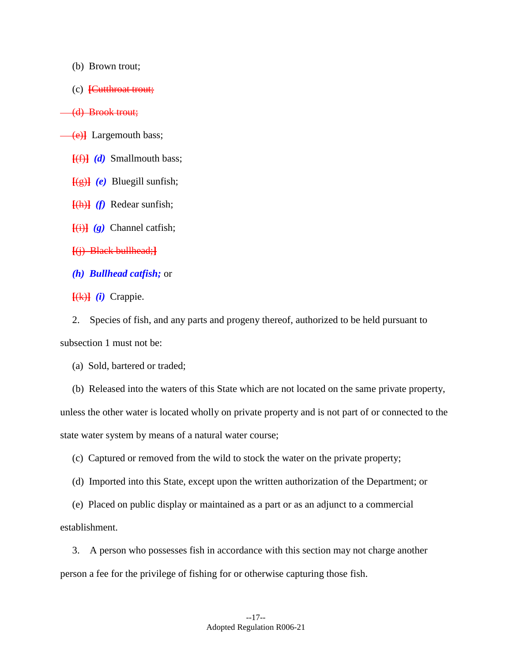- (b) Brown trout;
- (c) **[**Cutthroat trout;

(d) Brook trout;

(e)**]** Largemouth bass;

**[**(f)**]** *(d)* Smallmouth bass;

**[**(g)**]** *(e)* Bluegill sunfish;

**[**(h)**]** *(f)* Redear sunfish;

 $\overline{(i)}$   $\overline{(g)}$  Channel catfish;

**[**(j) Black bullhead;**]** 

*(h) Bullhead catfish;* or

**[**(k)**]** *(i)* Crappie.

2. Species of fish, and any parts and progeny thereof, authorized to be held pursuant to subsection 1 must not be:

(a) Sold, bartered or traded;

(b) Released into the waters of this State which are not located on the same private property,

unless the other water is located wholly on private property and is not part of or connected to the state water system by means of a natural water course;

(c) Captured or removed from the wild to stock the water on the private property;

(d) Imported into this State, except upon the written authorization of the Department; or

(e) Placed on public display or maintained as a part or as an adjunct to a commercial establishment.

3. A person who possesses fish in accordance with this section may not charge another person a fee for the privilege of fishing for or otherwise capturing those fish.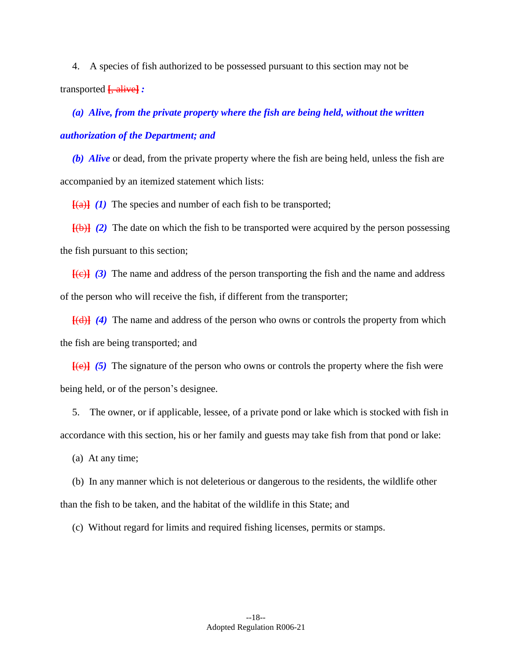4. A species of fish authorized to be possessed pursuant to this section may not be transported **[**, alive**]** *:* 

*(a) Alive, from the private property where the fish are being held, without the written authorization of the Department; and* 

*(b) Alive* or dead, from the private property where the fish are being held, unless the fish are accompanied by an itemized statement which lists:

 $[$ (a) $]$   $($ *l*) The species and number of each fish to be transported;

**[**(b)**]** *(2)* The date on which the fish to be transported were acquired by the person possessing the fish pursuant to this section;

**[**(c)**]** *(3)* The name and address of the person transporting the fish and the name and address of the person who will receive the fish, if different from the transporter;

**[**(d)**]** *(4)* The name and address of the person who owns or controls the property from which the fish are being transported; and

**[**(e)**]** *(5)* The signature of the person who owns or controls the property where the fish were being held, or of the person's designee.

5. The owner, or if applicable, lessee, of a private pond or lake which is stocked with fish in accordance with this section, his or her family and guests may take fish from that pond or lake:

(a) At any time;

(b) In any manner which is not deleterious or dangerous to the residents, the wildlife other than the fish to be taken, and the habitat of the wildlife in this State; and

(c) Without regard for limits and required fishing licenses, permits or stamps.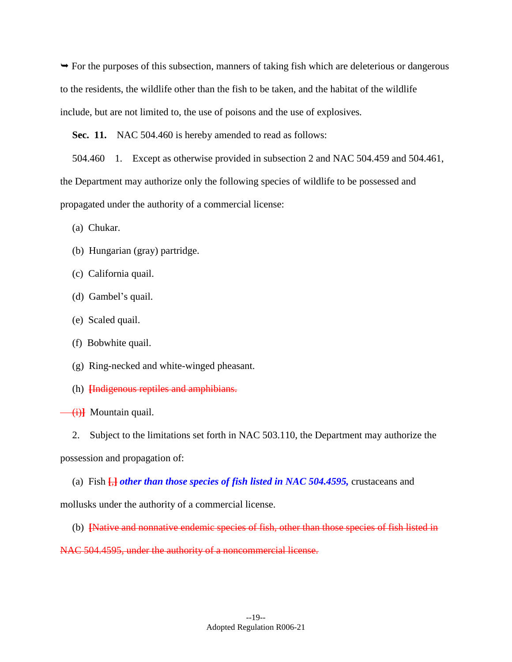$\rightarrow$  For the purposes of this subsection, manners of taking fish which are deleterious or dangerous to the residents, the wildlife other than the fish to be taken, and the habitat of the wildlife include, but are not limited to, the use of poisons and the use of explosives.

**Sec. 11.** NAC 504.460 is hereby amended to read as follows:

 504.460 1. Except as otherwise provided in subsection 2 and NAC 504.459 and 504.461, the Department may authorize only the following species of wildlife to be possessed and propagated under the authority of a commercial license:

(a) Chukar.

- (b) Hungarian (gray) partridge.
- (c) California quail.
- (d) Gambel's quail.
- (e) Scaled quail.
- (f) Bobwhite quail.
- (g) Ring-necked and white-winged pheasant.
- (h) **[**Indigenous reptiles and amphibians.
- (i)**]** Mountain quail.
	- 2. Subject to the limitations set forth in NAC 503.110, the Department may authorize the

possession and propagation of:

(a) Fish **[**,**]** *other than those species of fish listed in NAC 504.4595,* crustaceans and

mollusks under the authority of a commercial license.

(b) **[**Native and nonnative endemic species of fish, other than those species of fish listed in

NAC 504.4595, under the authority of a noncommercial license.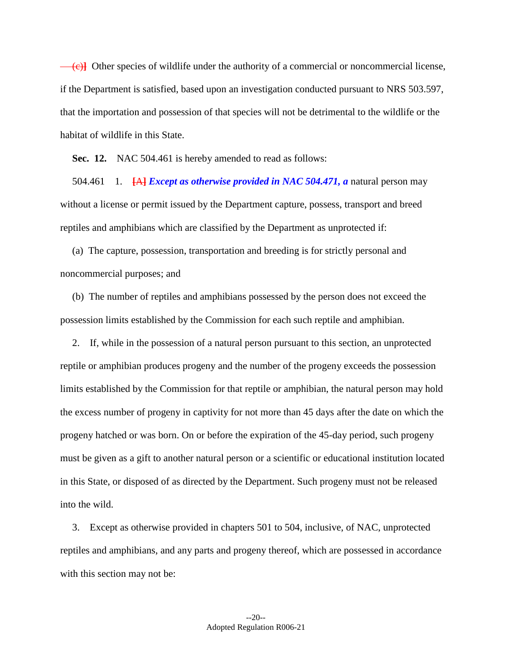(c)**]** Other species of wildlife under the authority of a commercial or noncommercial license, if the Department is satisfied, based upon an investigation conducted pursuant to NRS 503.597, that the importation and possession of that species will not be detrimental to the wildlife or the habitat of wildlife in this State.

**Sec. 12.** NAC 504.461 is hereby amended to read as follows:

 504.461 1. **[**A**]** *Except as otherwise provided in NAC 504.471, a* natural person may without a license or permit issued by the Department capture, possess, transport and breed reptiles and amphibians which are classified by the Department as unprotected if:

(a) The capture, possession, transportation and breeding is for strictly personal and noncommercial purposes; and

(b) The number of reptiles and amphibians possessed by the person does not exceed the possession limits established by the Commission for each such reptile and amphibian.

2. If, while in the possession of a natural person pursuant to this section, an unprotected reptile or amphibian produces progeny and the number of the progeny exceeds the possession limits established by the Commission for that reptile or amphibian, the natural person may hold the excess number of progeny in captivity for not more than 45 days after the date on which the progeny hatched or was born. On or before the expiration of the 45-day period, such progeny must be given as a gift to another natural person or a scientific or educational institution located in this State, or disposed of as directed by the Department. Such progeny must not be released into the wild.

3. Except as otherwise provided in chapters 501 to 504, inclusive, of NAC, unprotected reptiles and amphibians, and any parts and progeny thereof, which are possessed in accordance with this section may not be: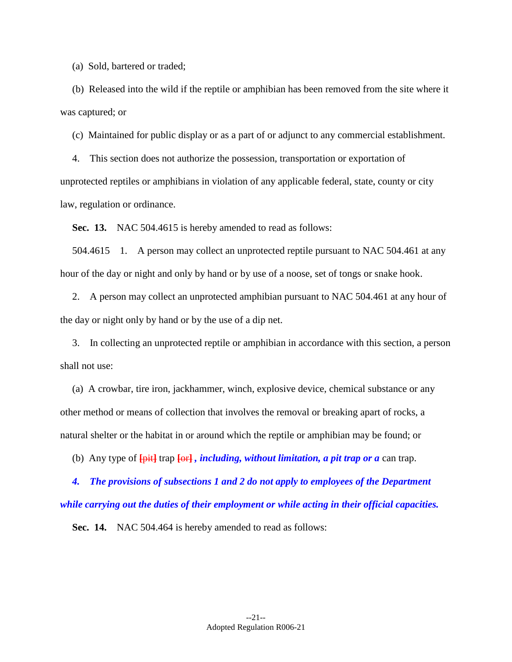(a) Sold, bartered or traded;

(b) Released into the wild if the reptile or amphibian has been removed from the site where it was captured; or

(c) Maintained for public display or as a part of or adjunct to any commercial establishment.

4. This section does not authorize the possession, transportation or exportation of unprotected reptiles or amphibians in violation of any applicable federal, state, county or city law, regulation or ordinance.

**Sec. 13.** NAC 504.4615 is hereby amended to read as follows:

 504.4615 1. A person may collect an unprotected reptile pursuant to NAC 504.461 at any hour of the day or night and only by hand or by use of a noose, set of tongs or snake hook.

2. A person may collect an unprotected amphibian pursuant to NAC 504.461 at any hour of the day or night only by hand or by the use of a dip net.

3. In collecting an unprotected reptile or amphibian in accordance with this section, a person shall not use:

(a) A crowbar, tire iron, jackhammer, winch, explosive device, chemical substance or any other method or means of collection that involves the removal or breaking apart of rocks, a natural shelter or the habitat in or around which the reptile or amphibian may be found; or

(b) Any type of **[**pit**]** trap **[**or**]** *, including, without limitation, a pit trap or a* can trap.

 *4. The provisions of subsections 1 and 2 do not apply to employees of the Department while carrying out the duties of their employment or while acting in their official capacities.* 

**Sec. 14.** NAC 504.464 is hereby amended to read as follows: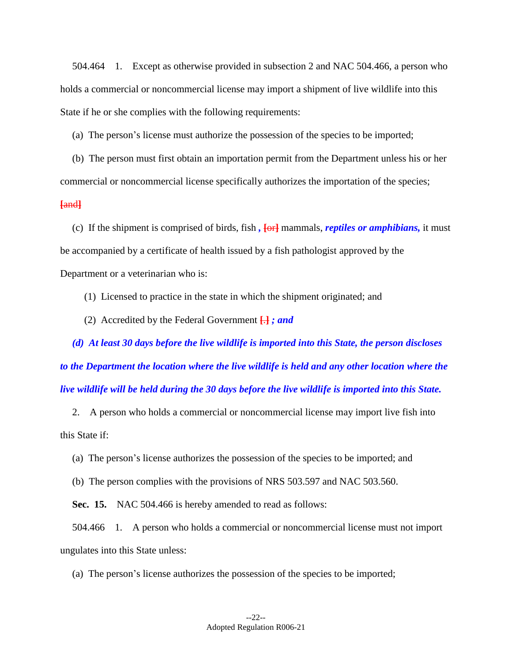504.464 1. Except as otherwise provided in subsection 2 and NAC 504.466, a person who holds a commercial or noncommercial license may import a shipment of live wildlife into this State if he or she complies with the following requirements:

(a) The person's license must authorize the possession of the species to be imported;

(b) The person must first obtain an importation permit from the Department unless his or her commercial or noncommercial license specifically authorizes the importation of the species;

## **[**and**]**

 be accompanied by a certificate of health issued by a fish pathologist approved by the (c) If the shipment is comprised of birds, fish *,* **[**or**]** mammals, *reptiles or amphibians,* it must Department or a veterinarian who is:

(1) Licensed to practice in the state in which the shipment originated; and

(2) Accredited by the Federal Government **[**.**]** *; and* 

*(d) At least 30 days before the live wildlife is imported into this State, the person discloses to the Department the location where the live wildlife is held and any other location where the live wildlife will be held during the 30 days before the live wildlife is imported into this State.* 

2. A person who holds a commercial or noncommercial license may import live fish into this State if:

(a) The person's license authorizes the possession of the species to be imported; and

(b) The person complies with the provisions of NRS 503.597 and NAC 503.560.

**Sec. 15.** NAC 504.466 is hereby amended to read as follows:

 504.466 1. A person who holds a commercial or noncommercial license must not import ungulates into this State unless:

(a) The person's license authorizes the possession of the species to be imported;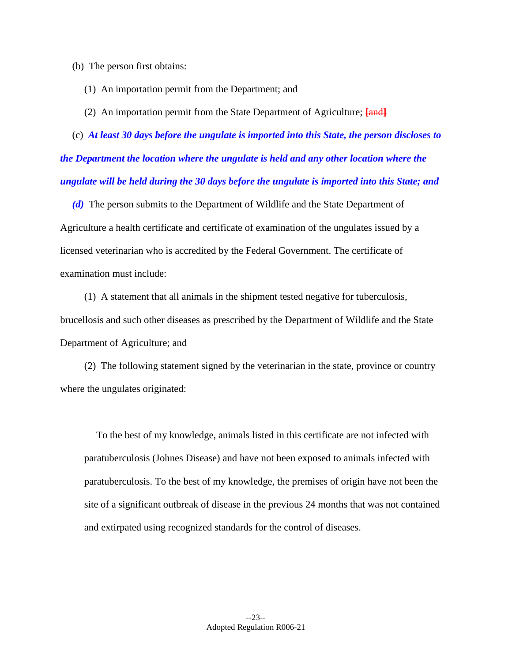- (b) The person first obtains:
	- (1) An importation permit from the Department; and
	- (2) An importation permit from the State Department of Agriculture; **[and]**

(c) *At least 30 days before the ungulate is imported into this State, the person discloses to the Department the location where the ungulate is held and any other location where the ungulate will be held during the 30 days before the ungulate is imported into this State; and* 

 Agriculture a health certificate and certificate of examination of the ungulates issued by a *(d)* The person submits to the Department of Wildlife and the State Department of licensed veterinarian who is accredited by the Federal Government. The certificate of examination must include:

(1) A statement that all animals in the shipment tested negative for tuberculosis, brucellosis and such other diseases as prescribed by the Department of Wildlife and the State Department of Agriculture; and

(2) The following statement signed by the veterinarian in the state, province or country where the ungulates originated:

To the best of my knowledge, animals listed in this certificate are not infected with paratuberculosis (Johnes Disease) and have not been exposed to animals infected with paratuberculosis. To the best of my knowledge, the premises of origin have not been the site of a significant outbreak of disease in the previous 24 months that was not contained and extirpated using recognized standards for the control of diseases.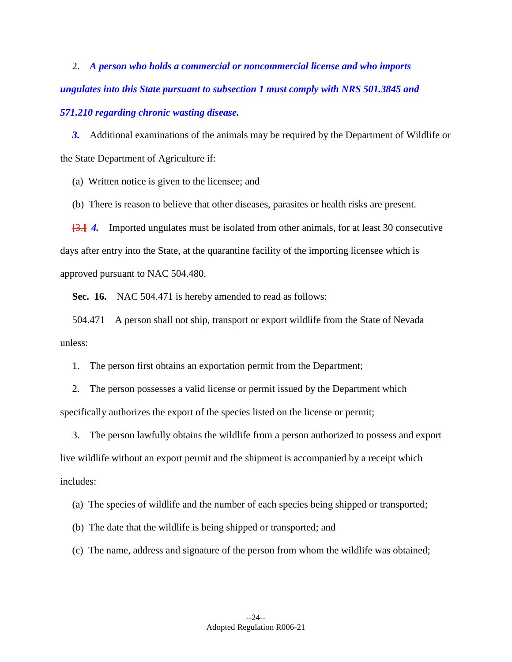2. *A person who holds a commercial or noncommercial license and who imports ungulates into this State pursuant to subsection 1 must comply with NRS 501.3845 and 571.210 regarding chronic wasting disease.* 

**3.** Additional examinations of the animals may be required by the Department of Wildlife or the State Department of Agriculture if:

(a) Written notice is given to the licensee; and

(b) There is reason to believe that other diseases, parasites or health risks are present.

[3.] 4. Imported ungulates must be isolated from other animals, for at least 30 consecutive days after entry into the State, at the quarantine facility of the importing licensee which is approved pursuant to NAC 504.480.

**Sec. 16.** NAC 504.471 is hereby amended to read as follows:

 504.471 A person shall not ship, transport or export wildlife from the State of Nevada unless:

1. The person first obtains an exportation permit from the Department;

2. The person possesses a valid license or permit issued by the Department which specifically authorizes the export of the species listed on the license or permit;

3. The person lawfully obtains the wildlife from a person authorized to possess and export live wildlife without an export permit and the shipment is accompanied by a receipt which includes:

(a) The species of wildlife and the number of each species being shipped or transported;

(b) The date that the wildlife is being shipped or transported; and

(c) The name, address and signature of the person from whom the wildlife was obtained;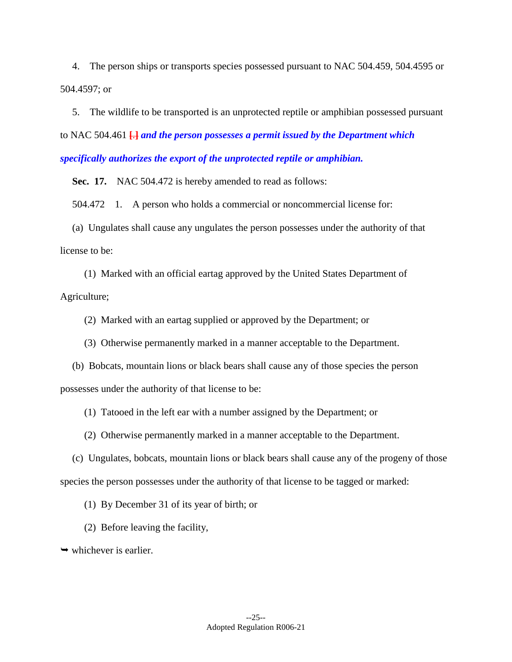4. The person ships or transports species possessed pursuant to NAC 504.459, 504.4595 or 504.4597; or

- to NAC 504.461 **[**.**]** *and the person possesses a permit issued by the Department which*  5. The wildlife to be transported is an unprotected reptile or amphibian possessed pursuant *specifically authorizes the export of the unprotected reptile or amphibian.* 

**Sec. 17.** NAC 504.472 is hereby amended to read as follows:

504.472 1. A person who holds a commercial or noncommercial license for:

(a) Ungulates shall cause any ungulates the person possesses under the authority of that license to be:

(1) Marked with an official eartag approved by the United States Department of Agriculture;

(2) Marked with an eartag supplied or approved by the Department; or

(3) Otherwise permanently marked in a manner acceptable to the Department.

(b) Bobcats, mountain lions or black bears shall cause any of those species the person possesses under the authority of that license to be:

(1) Tatooed in the left ear with a number assigned by the Department; or

(2) Otherwise permanently marked in a manner acceptable to the Department.

(c) Ungulates, bobcats, mountain lions or black bears shall cause any of the progeny of those species the person possesses under the authority of that license to be tagged or marked:

(1) By December 31 of its year of birth; or

(2) Before leaving the facility,

 $\rightarrow$  whichever is earlier.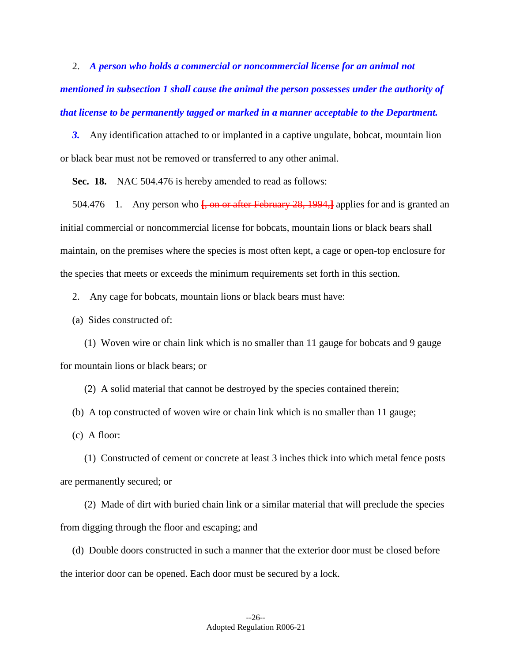2. *A person who holds a commercial or noncommercial license for an animal not mentioned in subsection 1 shall cause the animal the person possesses under the authority of that license to be permanently tagged or marked in a manner acceptable to the Department.* 

**3.** Any identification attached to or implanted in a captive ungulate, bobcat, mountain lion or black bear must not be removed or transferred to any other animal.

**Sec. 18.** NAC 504.476 is hereby amended to read as follows:

 504.476 1. Any person who **[**, on or after February 28, 1994,**]** applies for and is granted an initial commercial or noncommercial license for bobcats, mountain lions or black bears shall maintain, on the premises where the species is most often kept, a cage or open-top enclosure for the species that meets or exceeds the minimum requirements set forth in this section.

2. Any cage for bobcats, mountain lions or black bears must have:

(a) Sides constructed of:

(1) Woven wire or chain link which is no smaller than 11 gauge for bobcats and 9 gauge for mountain lions or black bears; or

(2) A solid material that cannot be destroyed by the species contained therein;

(b) A top constructed of woven wire or chain link which is no smaller than 11 gauge;

(c) A floor:

(1) Constructed of cement or concrete at least 3 inches thick into which metal fence posts are permanently secured; or

(2) Made of dirt with buried chain link or a similar material that will preclude the species from digging through the floor and escaping; and

(d) Double doors constructed in such a manner that the exterior door must be closed before the interior door can be opened. Each door must be secured by a lock.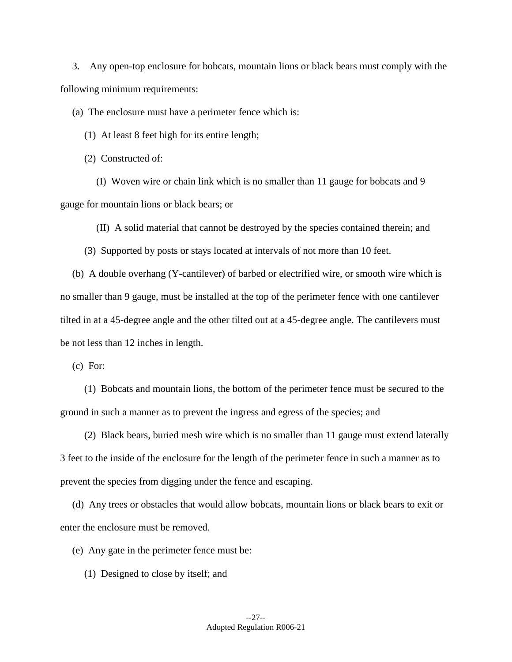3. Any open-top enclosure for bobcats, mountain lions or black bears must comply with the following minimum requirements:

(a) The enclosure must have a perimeter fence which is:

(1) At least 8 feet high for its entire length;

(2) Constructed of:

(I) Woven wire or chain link which is no smaller than 11 gauge for bobcats and 9 gauge for mountain lions or black bears; or

(II) A solid material that cannot be destroyed by the species contained therein; and

(3) Supported by posts or stays located at intervals of not more than 10 feet.

(b) A double overhang (Y-cantilever) of barbed or electrified wire, or smooth wire which is no smaller than 9 gauge, must be installed at the top of the perimeter fence with one cantilever tilted in at a 45-degree angle and the other tilted out at a 45-degree angle. The cantilevers must be not less than 12 inches in length.

(c) For:

(1) Bobcats and mountain lions, the bottom of the perimeter fence must be secured to the ground in such a manner as to prevent the ingress and egress of the species; and

(2) Black bears, buried mesh wire which is no smaller than 11 gauge must extend laterally 3 feet to the inside of the enclosure for the length of the perimeter fence in such a manner as to prevent the species from digging under the fence and escaping.

(d) Any trees or obstacles that would allow bobcats, mountain lions or black bears to exit or enter the enclosure must be removed.

(e) Any gate in the perimeter fence must be:

(1) Designed to close by itself; and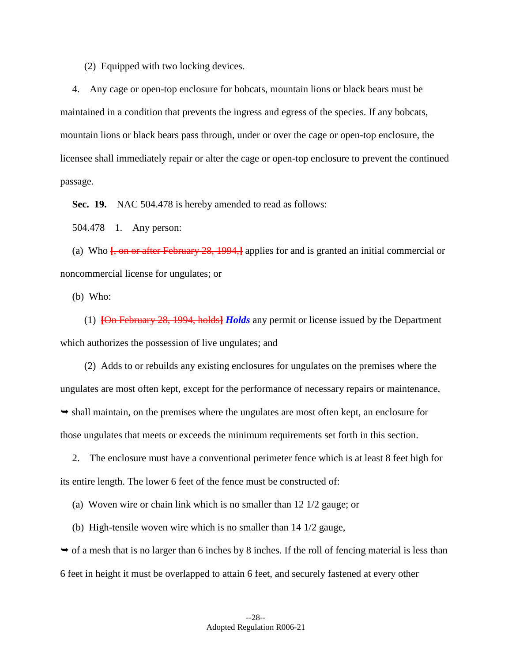(2) Equipped with two locking devices.

 licensee shall immediately repair or alter the cage or open-top enclosure to prevent the continued 4. Any cage or open-top enclosure for bobcats, mountain lions or black bears must be maintained in a condition that prevents the ingress and egress of the species. If any bobcats, mountain lions or black bears pass through, under or over the cage or open-top enclosure, the passage.

**Sec. 19.** NAC 504.478 is hereby amended to read as follows:

504.478 1. Any person:

(a) Who **[**, on or after February 28, 1994,**]** applies for and is granted an initial commercial or noncommercial license for ungulates; or

(b) Who:

(1) **[**On February 28, 1994, holds**]** *Holds* any permit or license issued by the Department which authorizes the possession of live ungulates; and

(2) Adds to or rebuilds any existing enclosures for ungulates on the premises where the ungulates are most often kept, except for the performance of necessary repairs or maintenance,  $\rightarrow$  shall maintain, on the premises where the ungulates are most often kept, an enclosure for those ungulates that meets or exceeds the minimum requirements set forth in this section.

2. The enclosure must have a conventional perimeter fence which is at least 8 feet high for its entire length. The lower 6 feet of the fence must be constructed of:

(a) Woven wire or chain link which is no smaller than 12 1/2 gauge; or

(b) High-tensile woven wire which is no smaller than 14 1/2 gauge,

 $\rightarrow$  of a mesh that is no larger than 6 inches by 8 inches. If the roll of fencing material is less than 6 feet in height it must be overlapped to attain 6 feet, and securely fastened at every other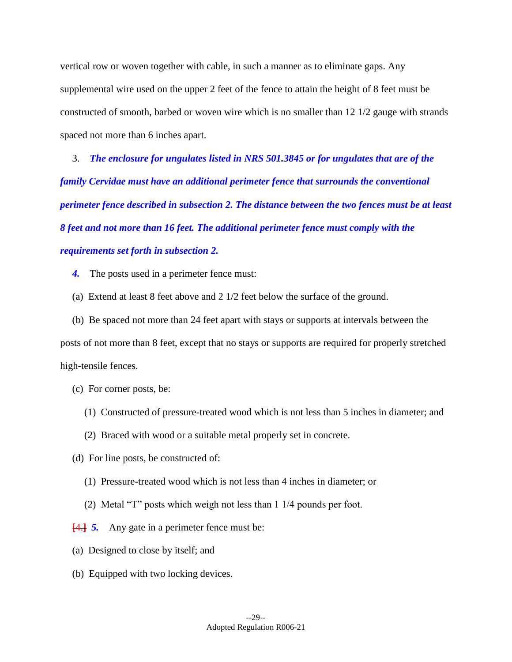vertical row or woven together with cable, in such a manner as to eliminate gaps. Any supplemental wire used on the upper 2 feet of the fence to attain the height of 8 feet must be constructed of smooth, barbed or woven wire which is no smaller than 12 1/2 gauge with strands spaced not more than 6 inches apart.

3. *The enclosure for ungulates listed in NRS 501.3845 or for ungulates that are of the family Cervidae must have an additional perimeter fence that surrounds the conventional perimeter fence described in subsection 2. The distance between the two fences must be at least 8 feet and not more than 16 feet. The additional perimeter fence must comply with the requirements set forth in subsection 2.* 

4. The posts used in a perimeter fence must:

(a) Extend at least 8 feet above and 2 1/2 feet below the surface of the ground.

(b) Be spaced not more than 24 feet apart with stays or supports at intervals between the posts of not more than 8 feet, except that no stays or supports are required for properly stretched high-tensile fences.

- (c) For corner posts, be:
	- (1) Constructed of pressure-treated wood which is not less than 5 inches in diameter; and
	- (2) Braced with wood or a suitable metal properly set in concrete.
- (d) For line posts, be constructed of:
	- (1) Pressure-treated wood which is not less than 4 inches in diameter; or
	- (2) Metal "T" posts which weigh not less than 1 1/4 pounds per foot.
- **[4.**] **5.** Any gate in a perimeter fence must be:
- (a) Designed to close by itself; and
- (b) Equipped with two locking devices.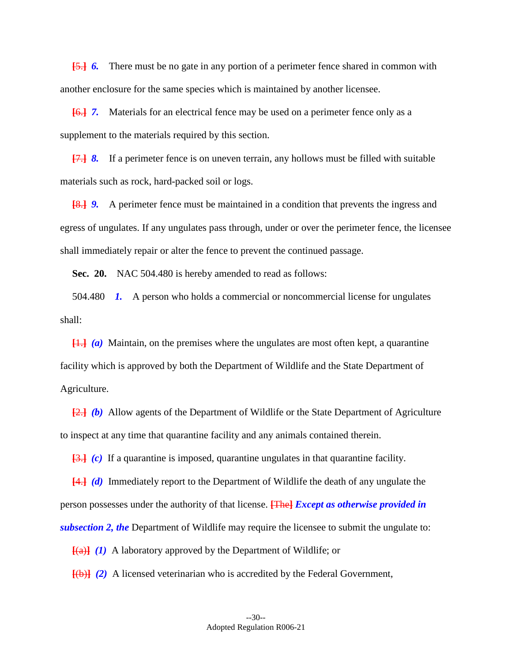**[**5.**]** *6.* There must be no gate in any portion of a perimeter fence shared in common with another enclosure for the same species which is maintained by another licensee.

 **[**6.**]** *7.* Materials for an electrical fence may be used on a perimeter fence only as a supplement to the materials required by this section.

**[**7.**]** *8.* If a perimeter fence is on uneven terrain, any hollows must be filled with suitable materials such as rock, hard-packed soil or logs.

**[**8.**]** *9.* A perimeter fence must be maintained in a condition that prevents the ingress and egress of ungulates. If any ungulates pass through, under or over the perimeter fence, the licensee shall immediately repair or alter the fence to prevent the continued passage.

**Sec. 20.** NAC 504.480 is hereby amended to read as follows:

 504.480 *1.* A person who holds a commercial or noncommercial license for ungulates shall:

**[**1.**]** *(a)* Maintain, on the premises where the ungulates are most often kept, a quarantine facility which is approved by both the Department of Wildlife and the State Department of Agriculture.

**[**2.**]** *(b)* Allow agents of the Department of Wildlife or the State Department of Agriculture to inspect at any time that quarantine facility and any animals contained therein.

**[**3.**]** *(c)* If a quarantine is imposed, quarantine ungulates in that quarantine facility.

**[**4.**]** *(d)* Immediately report to the Department of Wildlife the death of any ungulate the person possesses under the authority of that license. **[**The**]** *Except as otherwise provided in subsection 2, the* Department of Wildlife may require the licensee to submit the ungulate to:

**[**(a)**]** *(1)* A laboratory approved by the Department of Wildlife; or

**[**(b)**]** *(2)* A licensed veterinarian who is accredited by the Federal Government,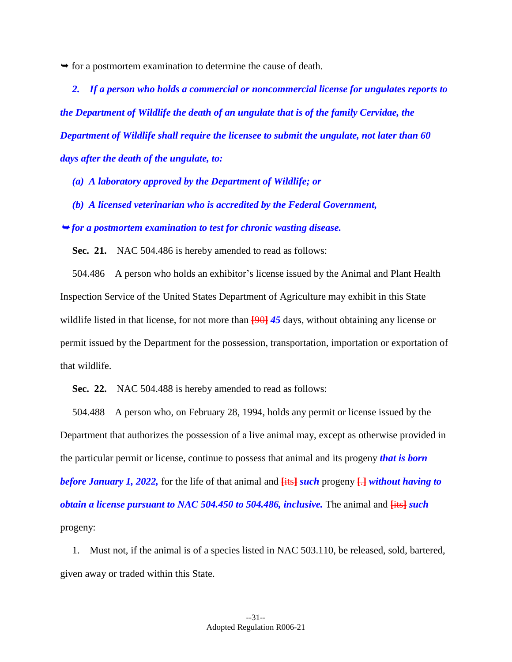$\rightarrow$  for a postmortem examination to determine the cause of death.

 *2. If a person who holds a commercial or noncommercial license for ungulates reports to the Department of Wildlife the death of an ungulate that is of the family Cervidae, the Department of Wildlife shall require the licensee to submit the ungulate, not later than 60 days after the death of the ungulate, to:* 

*(a) A laboratory approved by the Department of Wildlife; or* 

*(b) A licensed veterinarian who is accredited by the Federal Government,* 

*for a postmortem examination to test for chronic wasting disease.* 

**Sec. 21.** NAC 504.486 is hereby amended to read as follows:

 504.486 A person who holds an exhibitor's license issued by the Animal and Plant Health Inspection Service of the United States Department of Agriculture may exhibit in this State wildlife listed in that license, for not more than **[**90**]** *45* days, without obtaining any license or permit issued by the Department for the possession, transportation, importation or exportation of that wildlife.

**Sec. 22.** NAC 504.488 is hereby amended to read as follows:

 504.488 A person who, on February 28, 1994, holds any permit or license issued by the Department that authorizes the possession of a live animal may, except as otherwise provided in the particular permit or license, continue to possess that animal and its progeny *that is born before January 1, 2022,* for the life of that animal and **[**its**]** *such* progeny **[**.**]** *without having to obtain a license pursuant to NAC 504.450 to 504.486, inclusive.* The animal and **[**its**]** *such*  progeny:

1. Must not, if the animal is of a species listed in NAC 503.110, be released, sold, bartered, given away or traded within this State.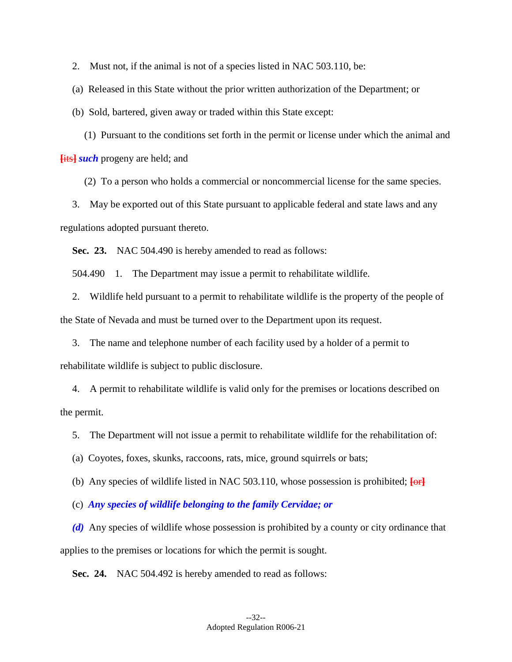2. Must not, if the animal is not of a species listed in NAC 503.110, be:

(a) Released in this State without the prior written authorization of the Department; or

(b) Sold, bartered, given away or traded within this State except:

(1) Pursuant to the conditions set forth in the permit or license under which the animal and **[**its**]** *such* progeny are held; and

(2) To a person who holds a commercial or noncommercial license for the same species.

3. May be exported out of this State pursuant to applicable federal and state laws and any regulations adopted pursuant thereto.

**Sec. 23.** NAC 504.490 is hereby amended to read as follows:

504.490 1. The Department may issue a permit to rehabilitate wildlife.

2. Wildlife held pursuant to a permit to rehabilitate wildlife is the property of the people of the State of Nevada and must be turned over to the Department upon its request.

3. The name and telephone number of each facility used by a holder of a permit to rehabilitate wildlife is subject to public disclosure.

4. A permit to rehabilitate wildlife is valid only for the premises or locations described on the permit.

5. The Department will not issue a permit to rehabilitate wildlife for the rehabilitation of:

(a) Coyotes, foxes, skunks, raccoons, rats, mice, ground squirrels or bats;

(b) Any species of wildlife listed in NAC 503.110, whose possession is prohibited; **[**or**]** 

(c) *Any species of wildlife belonging to the family Cervidae; or* 

*(d)* Any species of wildlife whose possession is prohibited by a county or city ordinance that applies to the premises or locations for which the permit is sought.

**Sec. 24.** NAC 504.492 is hereby amended to read as follows: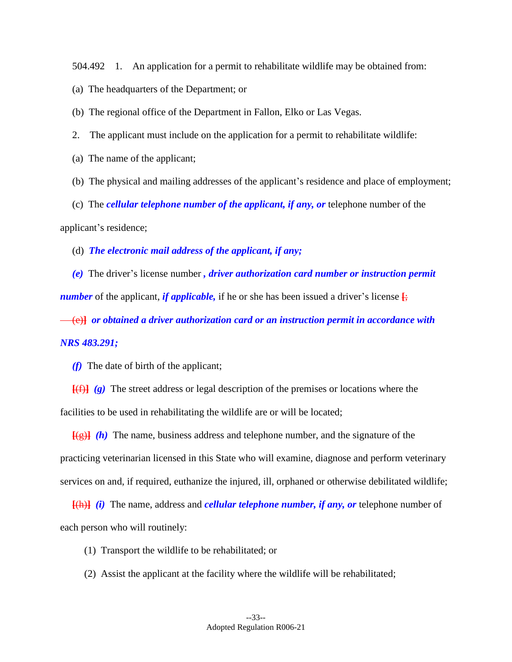504.492 1. An application for a permit to rehabilitate wildlife may be obtained from:

(a) The headquarters of the Department; or

(b) The regional office of the Department in Fallon, Elko or Las Vegas.

- 2. The applicant must include on the application for a permit to rehabilitate wildlife:
- (a) The name of the applicant;
- (b) The physical and mailing addresses of the applicant's residence and place of employment;

(c) The *cellular telephone number of the applicant, if any, or* telephone number of the applicant's residence;

(d) *The electronic mail address of the applicant, if any;* 

*(e)* The driver's license number *, driver authorization card number or instruction permit number* of the applicant, *if applicable*, if he or she has been issued a driver's license  $\frac{1}{2}$ ; (e)**]** *or obtained a driver authorization card or an instruction permit in accordance with NRS 483.291;* 

*(f)* The date of birth of the applicant;

**[**(f)**]** *(g)* The street address or legal description of the premises or locations where the facilities to be used in rehabilitating the wildlife are or will be located;

 $\overline{f(g)}$  (h) The name, business address and telephone number, and the signature of the practicing veterinarian licensed in this State who will examine, diagnose and perform veterinary services on and, if required, euthanize the injured, ill, orphaned or otherwise debilitated wildlife;

**[**(h)**]** *(i)* The name, address and *cellular telephone number, if any, or* telephone number of each person who will routinely:

- (1) Transport the wildlife to be rehabilitated; or
- (2) Assist the applicant at the facility where the wildlife will be rehabilitated;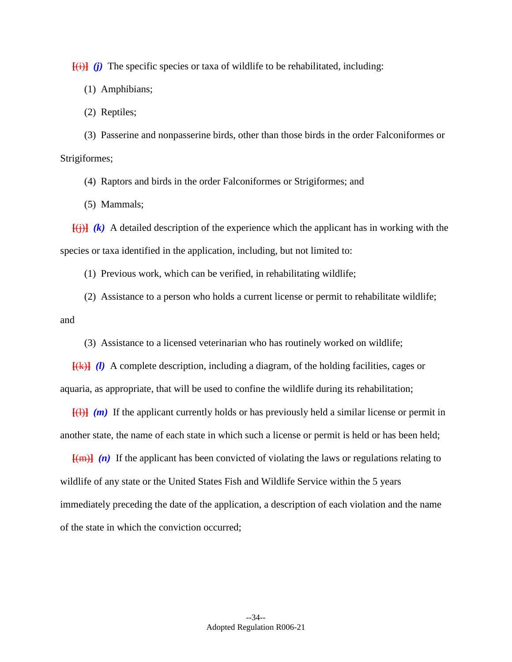$[(i)]$  *(j)* The specific species or taxa of wildlife to be rehabilitated, including:

(1) Amphibians;

(2) Reptiles;

(3) Passerine and nonpasserine birds, other than those birds in the order Falconiformes or Strigiformes;

(4) Raptors and birds in the order Falconiformes or Strigiformes; and

(5) Mammals;

 **[**(j)**]** *(k)* A detailed description of the experience which the applicant has in working with the species or taxa identified in the application, including, but not limited to:

(1) Previous work, which can be verified, in rehabilitating wildlife;

(2) Assistance to a person who holds a current license or permit to rehabilitate wildlife; and

(3) Assistance to a licensed veterinarian who has routinely worked on wildlife;

**[**(k)**]** *(l)* A complete description, including a diagram, of the holding facilities, cages or aquaria, as appropriate, that will be used to confine the wildlife during its rehabilitation;

 $\overline{f(1)}$  (*m*) If the applicant currently holds or has previously held a similar license or permit in another state, the name of each state in which such a license or permit is held or has been held;

**[**(m)**]** *(n)* If the applicant has been convicted of violating the laws or regulations relating to wildlife of any state or the United States Fish and Wildlife Service within the 5 years immediately preceding the date of the application, a description of each violation and the name of the state in which the conviction occurred;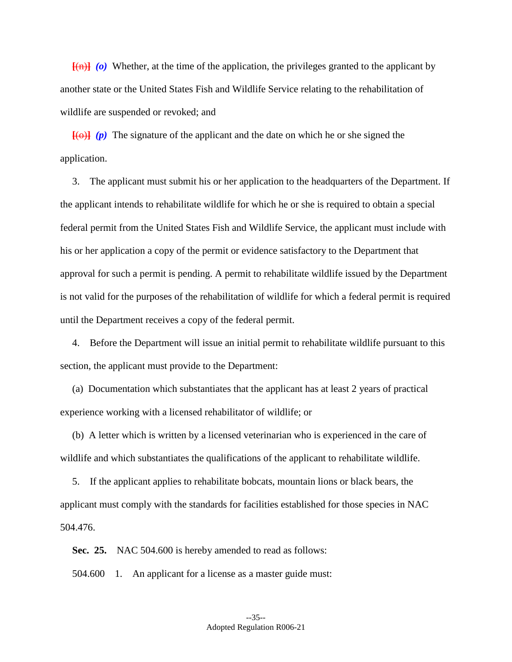**[**(n)**]** *(o)* Whether, at the time of the application, the privileges granted to the applicant by another state or the United States Fish and Wildlife Service relating to the rehabilitation of wildlife are suspended or revoked; and

 $[60]$  (p) The signature of the applicant and the date on which he or she signed the application.

3. The applicant must submit his or her application to the headquarters of the Department. If the applicant intends to rehabilitate wildlife for which he or she is required to obtain a special federal permit from the United States Fish and Wildlife Service, the applicant must include with his or her application a copy of the permit or evidence satisfactory to the Department that approval for such a permit is pending. A permit to rehabilitate wildlife issued by the Department is not valid for the purposes of the rehabilitation of wildlife for which a federal permit is required until the Department receives a copy of the federal permit.

4. Before the Department will issue an initial permit to rehabilitate wildlife pursuant to this section, the applicant must provide to the Department:

(a) Documentation which substantiates that the applicant has at least 2 years of practical experience working with a licensed rehabilitator of wildlife; or

(b) A letter which is written by a licensed veterinarian who is experienced in the care of wildlife and which substantiates the qualifications of the applicant to rehabilitate wildlife.

5. If the applicant applies to rehabilitate bobcats, mountain lions or black bears, the applicant must comply with the standards for facilities established for those species in NAC 504.476.

**Sec. 25.** NAC 504.600 is hereby amended to read as follows:

504.600 1. An applicant for a license as a master guide must: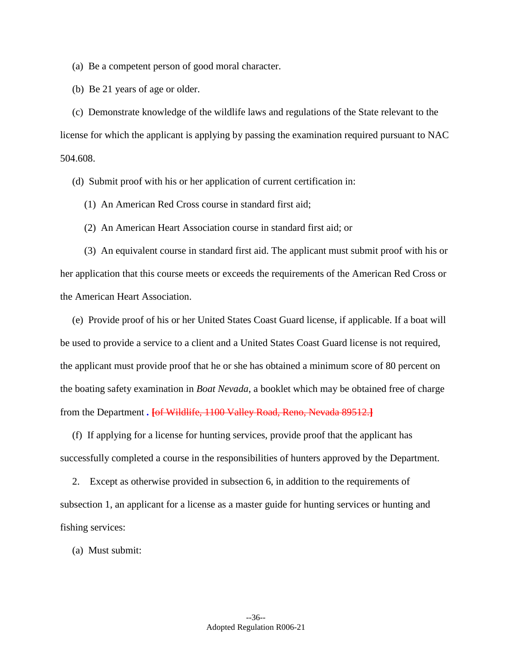(a) Be a competent person of good moral character.

(b) Be 21 years of age or older.

(c) Demonstrate knowledge of the wildlife laws and regulations of the State relevant to the license for which the applicant is applying by passing the examination required pursuant to NAC 504.608.

(d) Submit proof with his or her application of current certification in:

- (1) An American Red Cross course in standard first aid;
- (2) An American Heart Association course in standard first aid; or

(3) An equivalent course in standard first aid. The applicant must submit proof with his or her application that this course meets or exceeds the requirements of the American Red Cross or the American Heart Association.

(e) Provide proof of his or her United States Coast Guard license, if applicable. If a boat will be used to provide a service to a client and a United States Coast Guard license is not required, the applicant must provide proof that he or she has obtained a minimum score of 80 percent on the boating safety examination in *Boat Nevada*, a booklet which may be obtained free of charge from the Department *.* **[**of Wildlife, 1100 Valley Road, Reno, Nevada 89512.**]** 

(f) If applying for a license for hunting services, provide proof that the applicant has successfully completed a course in the responsibilities of hunters approved by the Department.

2. Except as otherwise provided in subsection 6, in addition to the requirements of subsection 1, an applicant for a license as a master guide for hunting services or hunting and fishing services:

(a) Must submit: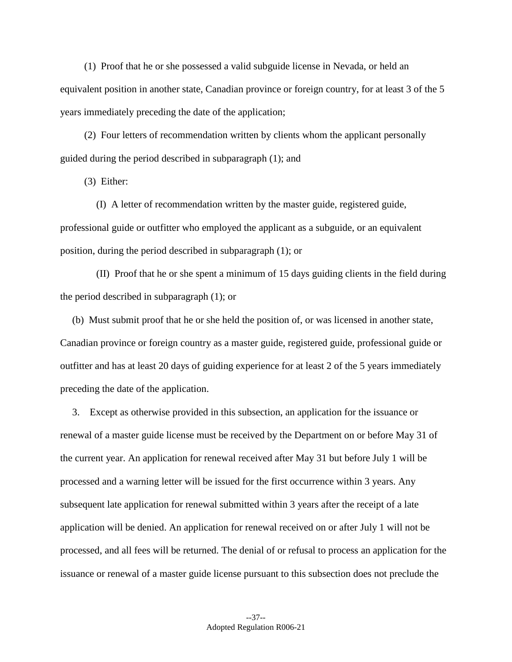(1) Proof that he or she possessed a valid subguide license in Nevada, or held an equivalent position in another state, Canadian province or foreign country, for at least 3 of the 5 years immediately preceding the date of the application;

(2) Four letters of recommendation written by clients whom the applicant personally guided during the period described in subparagraph (1); and

(3) Either:

(I) A letter of recommendation written by the master guide, registered guide, professional guide or outfitter who employed the applicant as a subguide, or an equivalent position, during the period described in subparagraph (1); or

(II) Proof that he or she spent a minimum of 15 days guiding clients in the field during the period described in subparagraph (1); or

(b) Must submit proof that he or she held the position of, or was licensed in another state, Canadian province or foreign country as a master guide, registered guide, professional guide or outfitter and has at least 20 days of guiding experience for at least 2 of the 5 years immediately preceding the date of the application.

3. Except as otherwise provided in this subsection, an application for the issuance or renewal of a master guide license must be received by the Department on or before May 31 of the current year. An application for renewal received after May 31 but before July 1 will be processed and a warning letter will be issued for the first occurrence within 3 years. Any subsequent late application for renewal submitted within 3 years after the receipt of a late application will be denied. An application for renewal received on or after July 1 will not be processed, and all fees will be returned. The denial of or refusal to process an application for the issuance or renewal of a master guide license pursuant to this subsection does not preclude the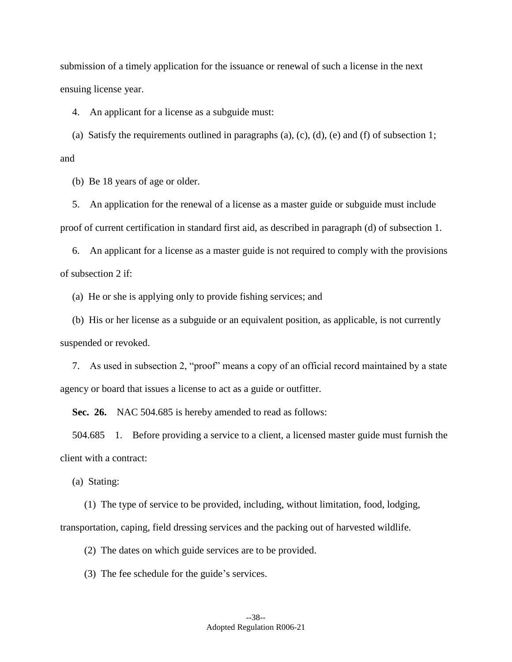submission of a timely application for the issuance or renewal of such a license in the next ensuing license year.

4. An applicant for a license as a subguide must:

(a) Satisfy the requirements outlined in paragraphs (a), (c), (d), (e) and (f) of subsection 1; and

(b) Be 18 years of age or older.

5. An application for the renewal of a license as a master guide or subguide must include proof of current certification in standard first aid, as described in paragraph (d) of subsection 1.

6. An applicant for a license as a master guide is not required to comply with the provisions of subsection 2 if:

(a) He or she is applying only to provide fishing services; and

(b) His or her license as a subguide or an equivalent position, as applicable, is not currently suspended or revoked.

 7. As used in subsection 2, "proof" means a copy of an official record maintained by a state agency or board that issues a license to act as a guide or outfitter.

**Sec. 26.** NAC 504.685 is hereby amended to read as follows:

 504.685 1. Before providing a service to a client, a licensed master guide must furnish the client with a contract:

(a) Stating:

(1) The type of service to be provided, including, without limitation, food, lodging, transportation, caping, field dressing services and the packing out of harvested wildlife.

(2) The dates on which guide services are to be provided.

(3) The fee schedule for the guide's services.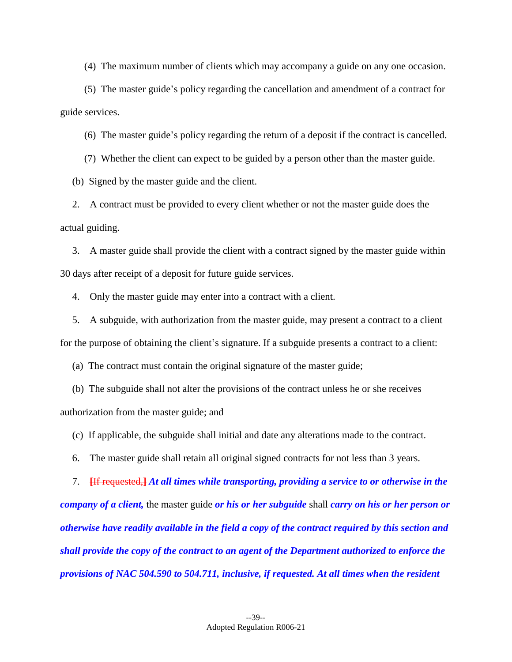(4) The maximum number of clients which may accompany a guide on any one occasion.

(5) The master guide's policy regarding the cancellation and amendment of a contract for guide services.

(6) The master guide's policy regarding the return of a deposit if the contract is cancelled.

(7) Whether the client can expect to be guided by a person other than the master guide.

(b) Signed by the master guide and the client.

2. A contract must be provided to every client whether or not the master guide does the actual guiding.

3. A master guide shall provide the client with a contract signed by the master guide within 30 days after receipt of a deposit for future guide services.

4. Only the master guide may enter into a contract with a client.

5. A subguide, with authorization from the master guide, may present a contract to a client for the purpose of obtaining the client's signature. If a subguide presents a contract to a client:

(a) The contract must contain the original signature of the master guide;

(b) The subguide shall not alter the provisions of the contract unless he or she receives authorization from the master guide; and

(c) If applicable, the subguide shall initial and date any alterations made to the contract.

6. The master guide shall retain all original signed contracts for not less than 3 years.

7. **[**If requested,**]** *At all times while transporting, providing a service to or otherwise in the* 

*company of a client,* the master guide *or his or her subguide* shall *carry on his or her person or otherwise have readily available in the field a copy of the contract required by this section and shall provide the copy of the contract to an agent of the Department authorized to enforce the provisions of NAC 504.590 to 504.711, inclusive, if requested. At all times when the resident*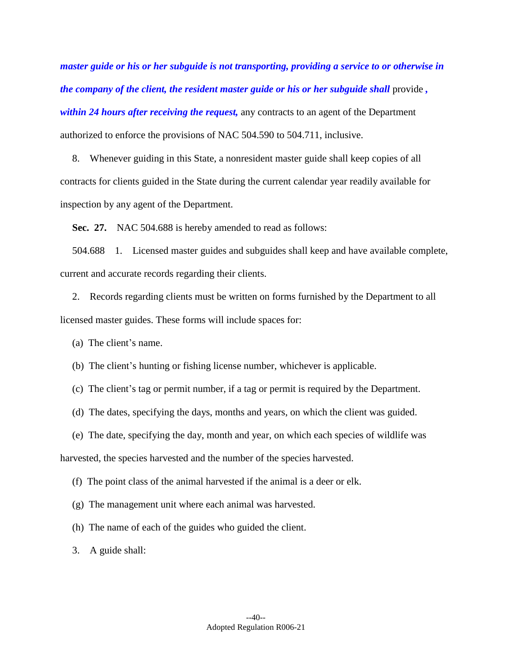*master guide or his or her subguide is not transporting, providing a service to or otherwise in the company of the client, the resident master guide or his or her subguide shall provide, within 24 hours after receiving the request,* any contracts to an agent of the Department authorized to enforce the provisions of NAC 504.590 to 504.711, inclusive.

8. Whenever guiding in this State, a nonresident master guide shall keep copies of all contracts for clients guided in the State during the current calendar year readily available for inspection by any agent of the Department.

**Sec. 27.** NAC 504.688 is hereby amended to read as follows:

 504.688 1. Licensed master guides and subguides shall keep and have available complete, current and accurate records regarding their clients.

2. Records regarding clients must be written on forms furnished by the Department to all licensed master guides. These forms will include spaces for:

(a) The client's name.

(b) The client's hunting or fishing license number, whichever is applicable.

(c) The client's tag or permit number, if a tag or permit is required by the Department.

(d) The dates, specifying the days, months and years, on which the client was guided.

(e) The date, specifying the day, month and year, on which each species of wildlife was

harvested, the species harvested and the number of the species harvested.

(f) The point class of the animal harvested if the animal is a deer or elk.

(g) The management unit where each animal was harvested.

(h) The name of each of the guides who guided the client.

3. A guide shall: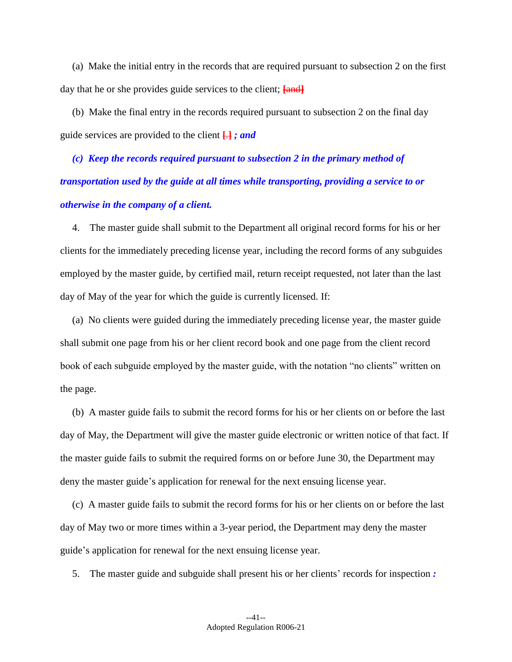(a) Make the initial entry in the records that are required pursuant to subsection 2 on the first day that he or she provides guide services to the client; **[**and**]** 

(b) Make the final entry in the records required pursuant to subsection 2 on the final day guide services are provided to the client **[**.**]** *; and* 

 *(c) Keep the records required pursuant to subsection 2 in the primary method of transportation used by the guide at all times while transporting, providing a service to or otherwise in the company of a client.* 

4. The master guide shall submit to the Department all original record forms for his or her clients for the immediately preceding license year, including the record forms of any subguides employed by the master guide, by certified mail, return receipt requested, not later than the last day of May of the year for which the guide is currently licensed. If:

(a) No clients were guided during the immediately preceding license year, the master guide shall submit one page from his or her client record book and one page from the client record book of each subguide employed by the master guide, with the notation "no clients" written on the page.

(b) A master guide fails to submit the record forms for his or her clients on or before the last day of May, the Department will give the master guide electronic or written notice of that fact. If the master guide fails to submit the required forms on or before June 30, the Department may deny the master guide's application for renewal for the next ensuing license year.

(c) A master guide fails to submit the record forms for his or her clients on or before the last day of May two or more times within a 3-year period, the Department may deny the master guide's application for renewal for the next ensuing license year.

5. The master guide and subguide shall present his or her clients' records for inspection *:*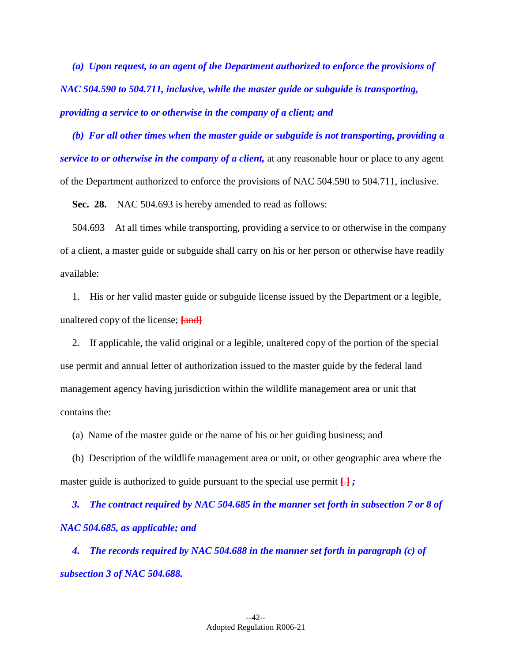*(a) Upon request, to an agent of the Department authorized to enforce the provisions of NAC 504.590 to 504.711, inclusive, while the master guide or subguide is transporting, providing a service to or otherwise in the company of a client; and* 

*(b) For all other times when the master guide or subguide is not transporting, providing a service to or otherwise in the company of a client,* at any reasonable hour or place to any agent of the Department authorized to enforce the provisions of NAC 504.590 to 504.711, inclusive.

**Sec. 28.** NAC 504.693 is hereby amended to read as follows:

 504.693 At all times while transporting, providing a service to or otherwise in the company of a client, a master guide or subguide shall carry on his or her person or otherwise have readily available:

1. His or her valid master guide or subguide license issued by the Department or a legible, unaltered copy of the license; **[**and**]** 

2. If applicable, the valid original or a legible, unaltered copy of the portion of the special use permit and annual letter of authorization issued to the master guide by the federal land management agency having jurisdiction within the wildlife management area or unit that contains the:

(a) Name of the master guide or the name of his or her guiding business; and

(b) Description of the wildlife management area or unit, or other geographic area where the master guide is authorized to guide pursuant to the special use permit **[**.**]** *;* 

 *3. The contract required by NAC 504.685 in the manner set forth in subsection 7 or 8 of NAC 504.685, as applicable; and* 

 *The records required by NAC 504.688 in the manner set forth in paragraph (c) of subsection 3 of NAC 504.688.*